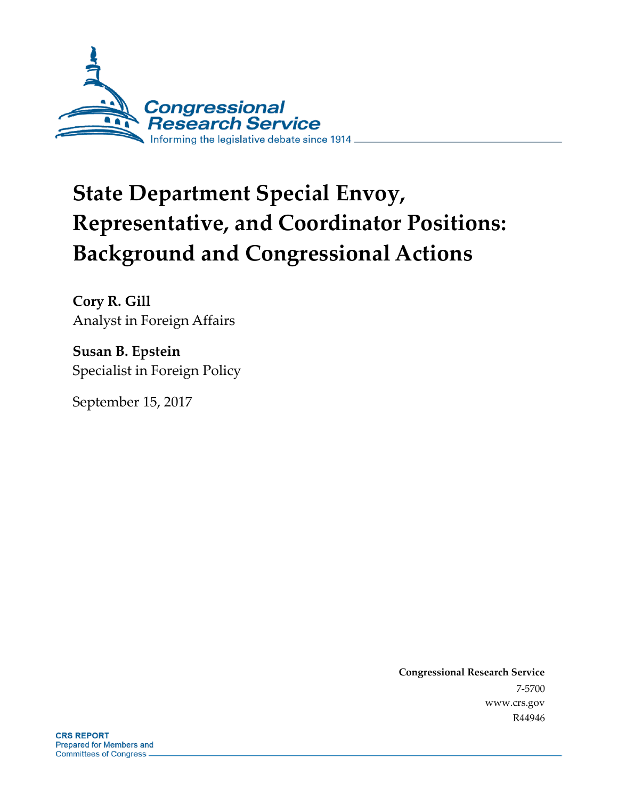

# **State Department Special Envoy, Representative, and Coordinator Positions: Background and Congressional Actions**

**Cory R. Gill** Analyst in Foreign Affairs

**Susan B. Epstein** Specialist in Foreign Policy

September 15, 2017

**Congressional Research Service** 7-5700 www.crs.gov R44946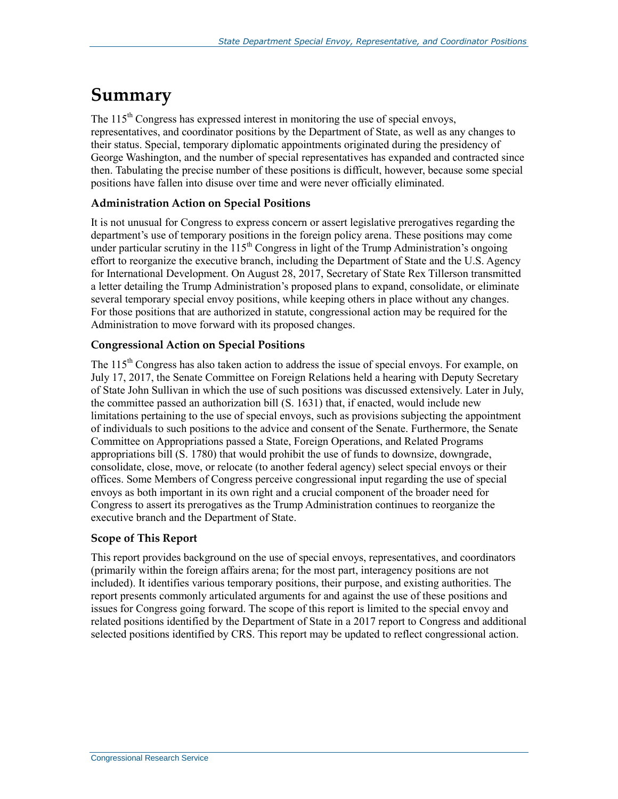## **Summary**

The 115<sup>th</sup> Congress has expressed interest in monitoring the use of special envoys, representatives, and coordinator positions by the Department of State, as well as any changes to their status. Special, temporary diplomatic appointments originated during the presidency of George Washington, and the number of special representatives has expanded and contracted since then. Tabulating the precise number of these positions is difficult, however, because some special positions have fallen into disuse over time and were never officially eliminated.

#### **Administration Action on Special Positions**

It is not unusual for Congress to express concern or assert legislative prerogatives regarding the department's use of temporary positions in the foreign policy arena. These positions may come under particular scrutiny in the  $115<sup>th</sup>$  Congress in light of the Trump Administration's ongoing effort to reorganize the executive branch, including the Department of State and the U.S. Agency for International Development. On August 28, 2017, Secretary of State Rex Tillerson transmitted a letter detailing the Trump Administration's proposed plans to expand, consolidate, or eliminate several temporary special envoy positions, while keeping others in place without any changes. For those positions that are authorized in statute, congressional action may be required for the Administration to move forward with its proposed changes.

#### **Congressional Action on Special Positions**

The 115<sup>th</sup> Congress has also taken action to address the issue of special envoys. For example, on July 17, 2017, the Senate Committee on Foreign Relations held a hearing with Deputy Secretary of State John Sullivan in which the use of such positions was discussed extensively. Later in July, the committee passed an authorization bill (S. 1631) that, if enacted, would include new limitations pertaining to the use of special envoys, such as provisions subjecting the appointment of individuals to such positions to the advice and consent of the Senate. Furthermore, the Senate Committee on Appropriations passed a State, Foreign Operations, and Related Programs appropriations bill (S. 1780) that would prohibit the use of funds to downsize, downgrade, consolidate, close, move, or relocate (to another federal agency) select special envoys or their offices. Some Members of Congress perceive congressional input regarding the use of special envoys as both important in its own right and a crucial component of the broader need for Congress to assert its prerogatives as the Trump Administration continues to reorganize the executive branch and the Department of State.

#### **Scope of This Report**

This report provides background on the use of special envoys, representatives, and coordinators (primarily within the foreign affairs arena; for the most part, interagency positions are not included). It identifies various temporary positions, their purpose, and existing authorities. The report presents commonly articulated arguments for and against the use of these positions and issues for Congress going forward. The scope of this report is limited to the special envoy and related positions identified by the Department of State in a 2017 report to Congress and additional selected positions identified by CRS. This report may be updated to reflect congressional action.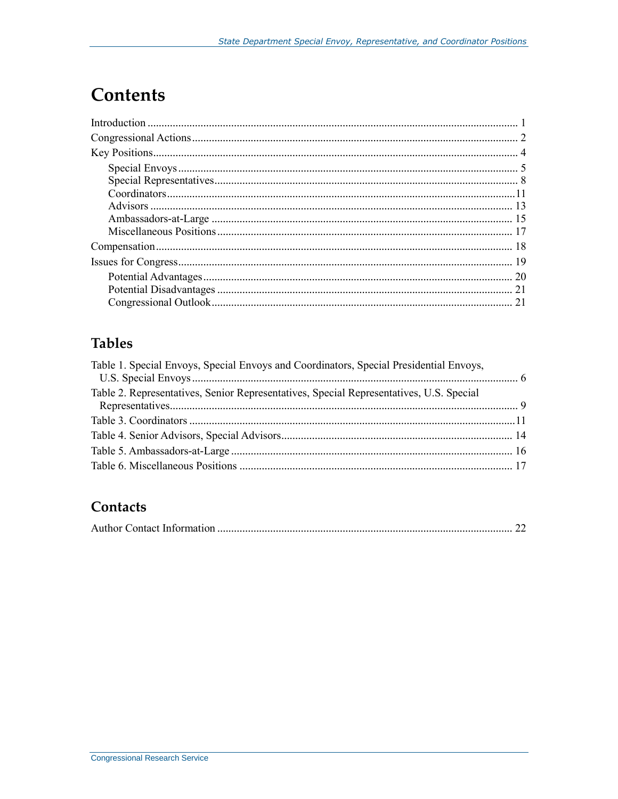## **Contents**

## **Tables**

| Table 1. Special Envoys, Special Envoys and Coordinators, Special Presidential Envoys,  |  |
|-----------------------------------------------------------------------------------------|--|
| Table 2. Representatives, Senior Representatives, Special Representatives, U.S. Special |  |
|                                                                                         |  |
|                                                                                         |  |
|                                                                                         |  |
|                                                                                         |  |
|                                                                                         |  |
|                                                                                         |  |

## Contacts

|--|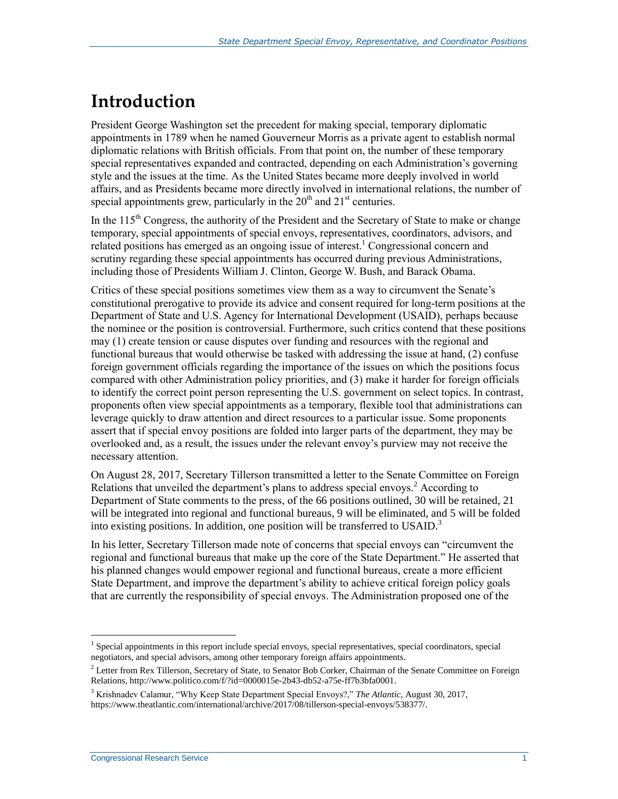## **Introduction**

President George Washington set the precedent for making special, temporary diplomatic appointments in 1789 when he named Gouverneur Morris as a private agent to establish normal diplomatic relations with British officials. From that point on, the number of these temporary special representatives expanded and contracted, depending on each Administration's governing style and the issues at the time. As the United States became more deeply involved in world affairs, and as Presidents became more directly involved in international relations, the number of special appointments grew, particularly in the  $20<sup>th</sup>$  and  $21<sup>st</sup>$  centuries.

In the  $115<sup>th</sup>$  Congress, the authority of the President and the Secretary of State to make or change temporary, special appointments of special envoys, representatives, coordinators, advisors, and related positions has emerged as an ongoing issue of interest.<sup>1</sup> Congressional concern and scrutiny regarding these special appointments has occurred during previous Administrations, including those of Presidents William J. Clinton, George W. Bush, and Barack Obama.

Critics of these special positions sometimes view them as a way to circumvent the Senate's constitutional prerogative to provide its advice and consent required for long-term positions at the Department of State and U.S. Agency for International Development (USAID), perhaps because the nominee or the position is controversial. Furthermore, such critics contend that these positions may (1) create tension or cause disputes over funding and resources with the regional and functional bureaus that would otherwise be tasked with addressing the issue at hand, (2) confuse foreign government officials regarding the importance of the issues on which the positions focus compared with other Administration policy priorities, and (3) make it harder for foreign officials to identify the correct point person representing the U.S. government on select topics. In contrast, proponents often view special appointments as a temporary, flexible tool that administrations can leverage quickly to draw attention and direct resources to a particular issue. Some proponents assert that if special envoy positions are folded into larger parts of the department, they may be overlooked and, as a result, the issues under the relevant envoy's purview may not receive the necessary attention.

On August 28, 2017, Secretary Tillerson transmitted a letter to the Senate Committee on Foreign Relations that unveiled the department's plans to address special envoys.<sup>2</sup> According to Department of State comments to the press, of the 66 positions outlined, 30 will be retained, 21 will be integrated into regional and functional bureaus, 9 will be eliminated, and 5 will be folded into existing positions. In addition, one position will be transferred to USAID. $3$ 

In his letter, Secretary Tillerson made note of concerns that special envoys can "circumvent the regional and functional bureaus that make up the core of the State Department." He asserted that his planned changes would empower regional and functional bureaus, create a more efficient State Department, and improve the department's ability to achieve critical foreign policy goals that are currently the responsibility of special envoys. The Administration proposed one of the

<sup>&</sup>lt;sup>1</sup> Special appointments in this report include special envoys, special representatives, special coordinators, special negotiators, and special advisors, among other temporary foreign affairs appointments.

<sup>&</sup>lt;sup>2</sup> Letter from Rex Tillerson, Secretary of State, to Senator Bob Corker, Chairman of the Senate Committee on Foreign Relations, http://www.politico.com/f/?id=0000015e-2b43-db52-a75e-ff7b3bfa0001.

<sup>3</sup> Krishnadev Calamur, "Why Keep State Department Special Envoys?," *The Atlantic*, August 30, 2017, https://www.theatlantic.com/international/archive/2017/08/tillerson-special-envoys/538377/.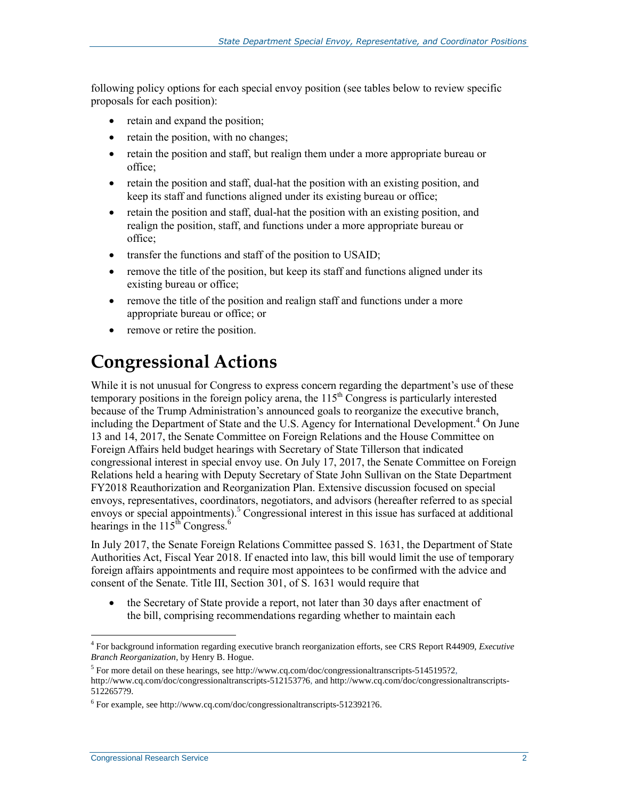following policy options for each special envoy position (see tables below to review specific proposals for each position):

- retain and expand the position;
- retain the position, with no changes;
- retain the position and staff, but realign them under a more appropriate bureau or office;
- retain the position and staff, dual-hat the position with an existing position, and keep its staff and functions aligned under its existing bureau or office;
- retain the position and staff, dual-hat the position with an existing position, and realign the position, staff, and functions under a more appropriate bureau or office;
- transfer the functions and staff of the position to USAID;
- remove the title of the position, but keep its staff and functions aligned under its existing bureau or office;
- remove the title of the position and realign staff and functions under a more appropriate bureau or office; or
- remove or retire the position.

## **Congressional Actions**

While it is not unusual for Congress to express concern regarding the department's use of these temporary positions in the foreign policy arena, the  $115<sup>th</sup>$  Congress is particularly interested because of the Trump Administration's announced goals to reorganize the executive branch, including the Department of State and the U.S. Agency for International Development.<sup>4</sup> On June 13 and 14, 2017, the Senate Committee on Foreign Relations and the House Committee on Foreign Affairs held budget hearings with Secretary of State Tillerson that indicated congressional interest in special envoy use. On July 17, 2017, the Senate Committee on Foreign Relations held a hearing with Deputy Secretary of State John Sullivan on the State Department FY2018 Reauthorization and Reorganization Plan. Extensive discussion focused on special envoys, representatives, coordinators, negotiators, and advisors (hereafter referred to as special envoys or special appointments).<sup>5</sup> Congressional interest in this issue has surfaced at additional hearings in the  $115<sup>th</sup>$  Congress.<sup>6</sup>

In July 2017, the Senate Foreign Relations Committee passed S. 1631, the Department of State Authorities Act, Fiscal Year 2018. If enacted into law, this bill would limit the use of temporary foreign affairs appointments and require most appointees to be confirmed with the advice and consent of the Senate. Title III, Section 301, of [S. 1631](http://www.congress.gov/cgi-lis/bdquery/z?d115:S.1631:) would require that

• the Secretary of State provide a report, not later than 30 days after enactment of the bill, comprising recommendations regarding whether to maintain each

<sup>4</sup> For background information regarding executive branch reorganization efforts, see CRS Report R44909, *Executive Branch Reorganization*, by Henry B. Hogue.

<sup>&</sup>lt;sup>5</sup> For more detail on these hearings, see http://www.cq.com/doc/congressionaltranscripts-5145195?2, http://www.cq.com/doc/congressionaltranscripts-5121537?6, and http://www.cq.com/doc/congressionaltranscripts-5122657?9.

 $6$  For example, see http://www.cq.com/doc/congressionaltranscripts-5123921?6.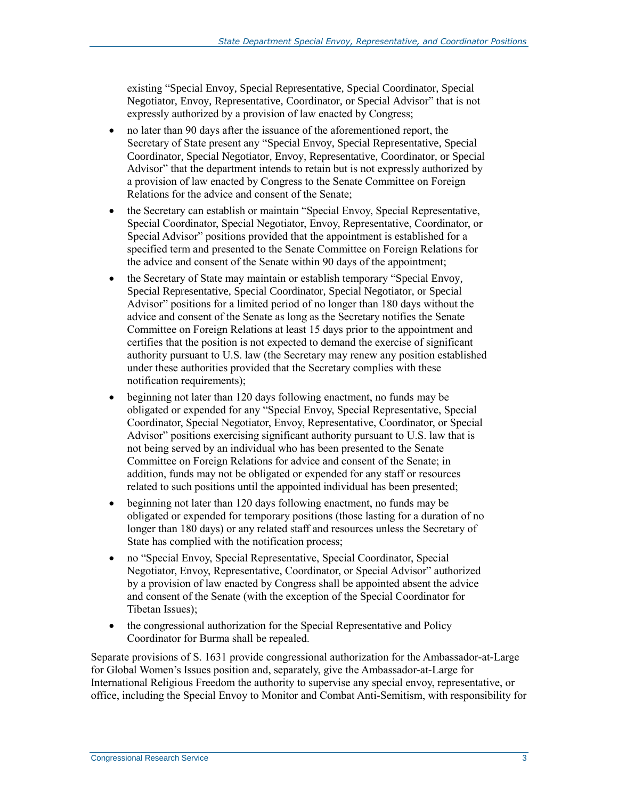existing "Special Envoy, Special Representative, Special Coordinator, Special Negotiator, Envoy, Representative, Coordinator, or Special Advisor" that is not expressly authorized by a provision of law enacted by Congress;

- no later than 90 days after the issuance of the aforementioned report, the Secretary of State present any "Special Envoy, Special Representative, Special Coordinator, Special Negotiator, Envoy, Representative, Coordinator, or Special Advisor" that the department intends to retain but is not expressly authorized by a provision of law enacted by Congress to the Senate Committee on Foreign Relations for the advice and consent of the Senate;
- the Secretary can establish or maintain "Special Envoy, Special Representative, Special Coordinator, Special Negotiator, Envoy, Representative, Coordinator, or Special Advisor" positions provided that the appointment is established for a specified term and presented to the Senate Committee on Foreign Relations for the advice and consent of the Senate within 90 days of the appointment;
- the Secretary of State may maintain or establish temporary "Special Envoy, Special Representative, Special Coordinator, Special Negotiator, or Special Advisor" positions for a limited period of no longer than 180 days without the advice and consent of the Senate as long as the Secretary notifies the Senate Committee on Foreign Relations at least 15 days prior to the appointment and certifies that the position is not expected to demand the exercise of significant authority pursuant to U.S. law (the Secretary may renew any position established under these authorities provided that the Secretary complies with these notification requirements);
- beginning not later than 120 days following enactment, no funds may be obligated or expended for any "Special Envoy, Special Representative, Special Coordinator, Special Negotiator, Envoy, Representative, Coordinator, or Special Advisor" positions exercising significant authority pursuant to U.S. law that is not being served by an individual who has been presented to the Senate Committee on Foreign Relations for advice and consent of the Senate; in addition, funds may not be obligated or expended for any staff or resources related to such positions until the appointed individual has been presented;
- beginning not later than 120 days following enactment, no funds may be obligated or expended for temporary positions (those lasting for a duration of no longer than 180 days) or any related staff and resources unless the Secretary of State has complied with the notification process;
- no "Special Envoy, Special Representative, Special Coordinator, Special Negotiator, Envoy, Representative, Coordinator, or Special Advisor" authorized by a provision of law enacted by Congress shall be appointed absent the advice and consent of the Senate (with the exception of the Special Coordinator for Tibetan Issues);
- the congressional authorization for the Special Representative and Policy Coordinator for Burma shall be repealed.

Separate provisions of S. 1631 provide congressional authorization for the Ambassador-at-Large for Global Women's Issues position and, separately, give the Ambassador-at-Large for International Religious Freedom the authority to supervise any special envoy, representative, or office, including the Special Envoy to Monitor and Combat Anti-Semitism, with responsibility for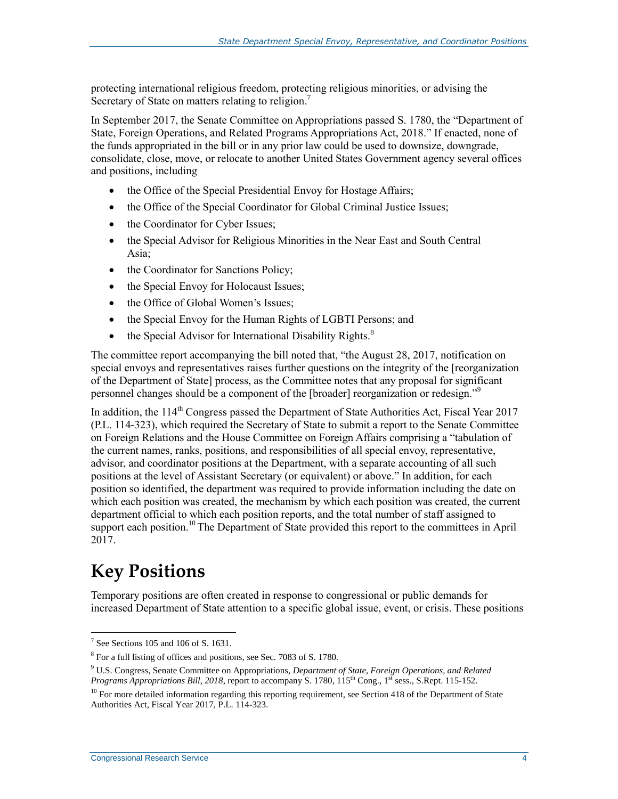protecting international religious freedom, protecting religious minorities, or advising the Secretary of State on matters relating to religion.<sup>7</sup>

In September 2017, the Senate Committee on Appropriations passed [S. 1780,](http://www.congress.gov/cgi-lis/bdquery/z?d115:S.1780:) the "Department of State, Foreign Operations, and Related Programs Appropriations Act, 2018." If enacted, none of the funds appropriated in the bill or in any prior law could be used to downsize, downgrade, consolidate, close, move, or relocate to another United States Government agency several offices and positions, including

- the Office of the Special Presidential Envoy for Hostage Affairs;
- the Office of the Special Coordinator for Global Criminal Justice Issues;
- the Coordinator for Cyber Issues;
- the Special Advisor for Religious Minorities in the Near East and South Central Asia;
- the Coordinator for Sanctions Policy;
- the Special Envoy for Holocaust Issues;
- the Office of Global Women's Issues;
- the Special Envoy for the Human Rights of LGBTI Persons; and
- $\bullet$  the Special Advisor for International Disability Rights.<sup>8</sup>

The committee report accompanying the bill noted that, "the August 28, 2017, notification on special envoys and representatives raises further questions on the integrity of the [reorganization of the Department of State] process, as the Committee notes that any proposal for significant personnel changes should be a component of the [broader] reorganization or redesign."<sup>9</sup>

In addition, the 114<sup>th</sup> Congress passed the Department of State Authorities Act, Fiscal Year 2017 (P.L. 114-323), which required the Secretary of State to submit a report to the Senate Committee on Foreign Relations and the House Committee on Foreign Affairs comprising a "tabulation of the current names, ranks, positions, and responsibilities of all special envoy, representative, advisor, and coordinator positions at the Department, with a separate accounting of all such positions at the level of Assistant Secretary (or equivalent) or above." In addition, for each position so identified, the department was required to provide information including the date on which each position was created, the mechanism by which each position was created, the current department official to which each position reports, and the total number of staff assigned to support each position.<sup>10</sup> The Department of State provided this report to the committees in April 2017.

## **Key Positions**

Temporary positions are often created in response to congressional or public demands for increased Department of State attention to a specific global issue, event, or crisis. These positions

 $<sup>7</sup>$  See Sections 105 and 106 of S. 1631.</sup>

<sup>&</sup>lt;sup>8</sup> For a full listing of offices and positions, see Sec. 7083 of S. 1780.

<sup>9</sup> U.S. Congress, Senate Committee on Appropriations, *Department of State, Foreign Operations, and Related Programs Appropriations Bill, 2018*, report to accompany S. 1780, 115<sup>th</sup> Cong., 1<sup>st</sup> sess., S.Rept. 115-152.

<sup>&</sup>lt;sup>10</sup> For more detailed information regarding this reporting requirement, see Section 418 of the Department of State Authorities Act, Fiscal Year 2017, P.L. 114-323.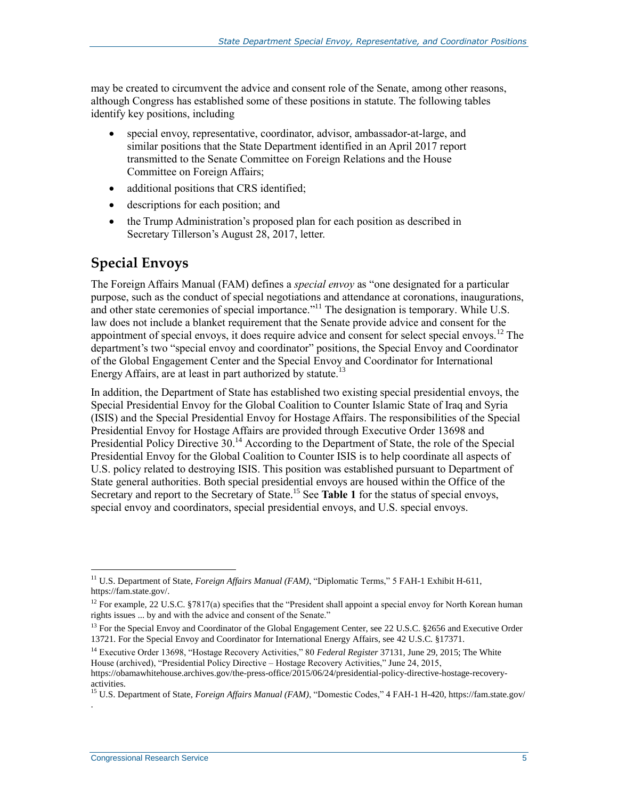may be created to circumvent the advice and consent role of the Senate, among other reasons, although Congress has established some of these positions in statute. The following tables identify key positions, including

- special envoy, representative, coordinator, advisor, ambassador-at-large, and similar positions that the State Department identified in an April 2017 report transmitted to the Senate Committee on Foreign Relations and the House Committee on Foreign Affairs;
- additional positions that CRS identified;
- descriptions for each position; and
- the Trump Administration's proposed plan for each position as described in Secretary Tillerson's August 28, 2017, letter.

#### **Special Envoys**

The Foreign Affairs Manual (FAM) defines a *special envoy* as "one designated for a particular purpose, such as the conduct of special negotiations and attendance at coronations, inaugurations, and other state ceremonies of special importance."<sup>11</sup> The designation is temporary. While U.S. law does not include a blanket requirement that the Senate provide advice and consent for the appointment of special envoys, it does require advice and consent for select special envoys.<sup>12</sup> The department's two "special envoy and coordinator" positions, the Special Envoy and Coordinator of the Global Engagement Center and the Special Envoy and Coordinator for International Energy Affairs, are at least in part authorized by statute.<sup>13</sup>

In addition, the Department of State has established two existing special presidential envoys, the Special Presidential Envoy for the Global Coalition to Counter Islamic State of Iraq and Syria (ISIS) and the Special Presidential Envoy for Hostage Affairs. The responsibilities of the Special Presidential Envoy for Hostage Affairs are provided through Executive Order 13698 and Presidential Policy Directive 30.<sup>14</sup> According to the Department of State, the role of the Special Presidential Envoy for the Global Coalition to Counter ISIS is to help coordinate all aspects of U.S. policy related to destroying ISIS. This position was established pursuant to Department of State general authorities. Both special presidential envoys are housed within the Office of the Secretary and report to the Secretary of State.<sup>15</sup> See **[Table 1](#page-8-0)** for the status of special envoys, special envoy and coordinators, special presidential envoys, and U.S. special envoys.

 $\overline{a}$ 

.

<sup>11</sup> U.S. Department of State, *Foreign Affairs Manual (FAM)*, "Diplomatic Terms," 5 FAH-1 Exhibit H-611, https://fam.state.gov/.

<sup>&</sup>lt;sup>12</sup> For example, 22 U.S.C.  $\S 7817(a)$  specifies that the "President shall appoint a special envoy for North Korean human rights issues ... by and with the advice and consent of the Senate."

<sup>&</sup>lt;sup>13</sup> For the Special Envoy and Coordinator of the Global Engagement Center, see 22 U.S.C. §2656 and Executive Order 13721. For the Special Envoy and Coordinator for International Energy Affairs, see 42 U.S.C. §17371.

<sup>14</sup> Executive Order 13698, "Hostage Recovery Activities," 80 *Federal Register* 37131, June 29, 2015; The White House (archived), "Presidential Policy Directive – Hostage Recovery Activities," June 24, 2015,

https://obamawhitehouse.archives.gov/the-press-office/2015/06/24/presidential-policy-directive-hostage-recoveryactivities.

<sup>15</sup> U.S. Department of State, *Foreign Affairs Manual (FAM)*, "Domestic Codes," 4 FAH-1 H-420, https://fam.state.gov/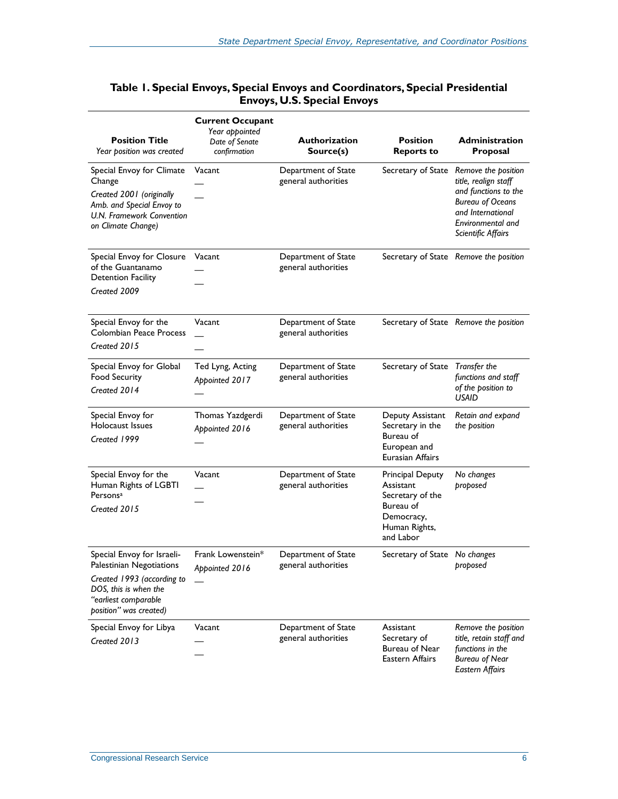| <b>Position Title</b><br>Year position was created                                                                                                              | <b>Current Occupant</b><br>Year appointed<br>Date of Senate<br>confirmation | <b>Authorization</b><br>Source(s)          | <b>Position</b><br><b>Reports to</b>                                                                              | <b>Administration</b><br>Proposal                                                                                                                              |
|-----------------------------------------------------------------------------------------------------------------------------------------------------------------|-----------------------------------------------------------------------------|--------------------------------------------|-------------------------------------------------------------------------------------------------------------------|----------------------------------------------------------------------------------------------------------------------------------------------------------------|
| Special Envoy for Climate<br>Change<br>Created 2001 (originally<br>Amb. and Special Envoy to<br>U.N. Framework Convention<br>on Climate Change)                 | Vacant                                                                      | Department of State<br>general authorities | Secretary of State                                                                                                | Remove the position<br>title, realign staff<br>and functions to the<br><b>Bureau of Oceans</b><br>and International<br>Environmental and<br>Scientific Affairs |
| Special Envoy for Closure<br>of the Guantanamo<br><b>Detention Facility</b><br>Created 2009                                                                     | Vacant                                                                      | Department of State<br>general authorities |                                                                                                                   | Secretary of State Remove the position                                                                                                                         |
| Special Envoy for the<br><b>Colombian Peace Process</b><br>Created 2015                                                                                         | Vacant                                                                      | Department of State<br>general authorities |                                                                                                                   | Secretary of State Remove the position                                                                                                                         |
| Special Envoy for Global<br><b>Food Security</b><br>Created 2014                                                                                                | Ted Lyng, Acting<br>Appointed 2017                                          | Department of State<br>general authorities | Secretary of State                                                                                                | Transfer the<br>functions and staff<br>of the position to<br><b>USAID</b>                                                                                      |
| Special Envoy for<br>Holocaust Issues<br>Created 1999                                                                                                           | Thomas Yazdgerdi<br>Appointed 2016                                          | Department of State<br>general authorities | Deputy Assistant<br>Secretary in the<br>Bureau of<br>European and<br>Eurasian Affairs                             | Retain and expand<br>the position                                                                                                                              |
| Special Envoy for the<br>Human Rights of LGBTI<br>Persons <sup>a</sup><br>Created 2015                                                                          | Vacant                                                                      | Department of State<br>general authorities | <b>Principal Deputy</b><br>Assistant<br>Secretary of the<br>Bureau of<br>Democracy,<br>Human Rights,<br>and Labor | No changes<br>proposed                                                                                                                                         |
| Special Envoy for Israeli-<br>Palestinian Negotiations<br>Created 1993 (according to<br>DOS, this is when the<br>"earliest comparable<br>position" was created) | Frank Lowenstein*<br>Appointed 2016                                         | Department of State<br>general authorities | Secretary of State No changes                                                                                     | proposed                                                                                                                                                       |
| Special Envoy for Libya<br>Created 2013                                                                                                                         | Vacant                                                                      | Department of State<br>general authorities | Assistant<br>Secretary of<br>Bureau of Near<br>Eastern Affairs                                                    | Remove the position<br>title, retain staff and<br>functions in the<br><b>Bureau of Near</b><br><b>Eastern Affairs</b>                                          |

#### <span id="page-8-0"></span>**Table 1. Special Envoys, Special Envoys and Coordinators, Special Presidential Envoys, U.S. Special Envoys**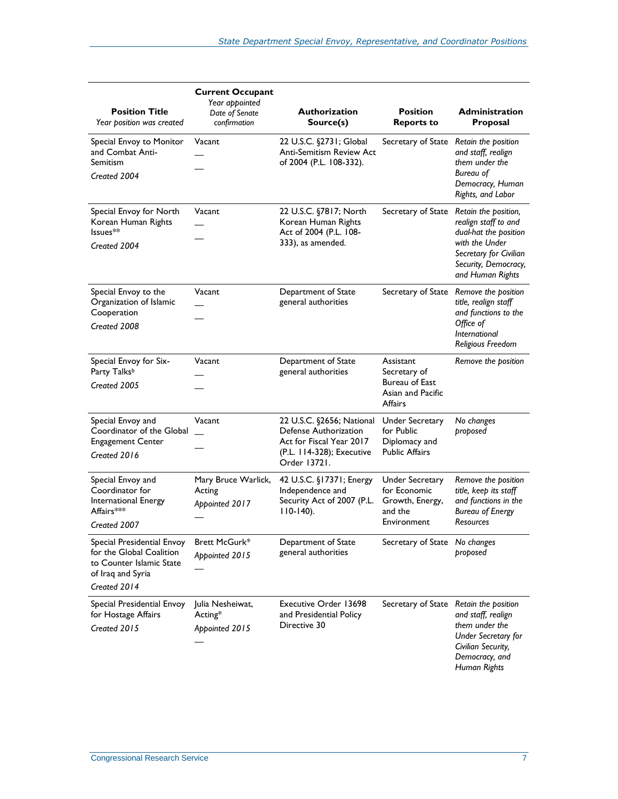| <b>Position Title</b><br>Year position was created                                                                      | <b>Current Occupant</b><br>Year appointed<br>Date of Senate<br>confirmation | <b>Authorization</b><br>Source(s)                                                                                           | <b>Position</b><br><b>Reports to</b>                                                | <b>Administration</b><br>Proposal                                                                                                                             |
|-------------------------------------------------------------------------------------------------------------------------|-----------------------------------------------------------------------------|-----------------------------------------------------------------------------------------------------------------------------|-------------------------------------------------------------------------------------|---------------------------------------------------------------------------------------------------------------------------------------------------------------|
| Special Envoy to Monitor<br>and Combat Anti-<br>Semitism<br>Created 2004                                                | Vacant                                                                      | 22 U.S.C. §2731; Global<br><b>Anti-Semitism Review Act</b><br>of 2004 (P.L. 108-332).                                       | Secretary of State                                                                  | Retain the position<br>and staff, realign<br>them under the<br>Bureau of<br>Democracy, Human<br>Rights, and Labor                                             |
| Special Envoy for North<br>Korean Human Rights<br>Issues**<br>Created 2004                                              | Vacant                                                                      | 22 U.S.C. §7817; North<br>Korean Human Rights<br>Act of 2004 (P.L. 108-<br>333), as amended.                                | Secretary of State                                                                  | Retain the position,<br>realign staff to and<br>dual-hat the position<br>with the Under<br>Secretary for Civilian<br>Security, Democracy,<br>and Human Rights |
| Special Envoy to the<br>Organization of Islamic<br>Cooperation<br>Created 2008                                          | Vacant                                                                      | Department of State<br>general authorities                                                                                  | Secretary of State                                                                  | Remove the position<br>title, realign staff<br>and functions to the<br>Office of<br><i><u><b>International</b></u></i><br>Religious Freedom                   |
| Special Envoy for Six-<br>Party Talksb<br>Created 2005                                                                  | Vacant                                                                      | Department of State<br>general authorities                                                                                  | Assistant<br>Secretary of<br>Bureau of East<br>Asian and Pacific<br><b>Affairs</b>  | Remove the position                                                                                                                                           |
| Special Envoy and<br>Coordinator of the Global<br><b>Engagement Center</b><br>Created 2016                              | Vacant                                                                      | 22 U.S.C. §2656; National<br>Defense Authorization<br>Act for Fiscal Year 2017<br>(P.L. 114-328); Executive<br>Order 13721. | <b>Under Secretary</b><br>for Public<br>Diplomacy and<br><b>Public Affairs</b>      | No changes<br>proposed                                                                                                                                        |
| Special Envoy and<br>Coordinator for<br>International Energy<br>Affairs***<br>Created 2007                              | Mary Bruce Warlick,<br>Acting<br>Appointed 2017                             | 42 U.S.C. §17371; Energy<br>Independence and<br>Security Act of 2007 (P.L.<br>$110-140$ ).                                  | <b>Under Secretary</b><br>for Economic<br>Growth, Energy,<br>and the<br>Environment | Remove the position<br>title, keep its staff<br>and functions in the<br><b>Bureau of Energy</b><br><b>Resources</b>                                           |
| Special Presidential Envoy<br>for the Global Coalition<br>to Counter Islamic State<br>of Iraq and Syria<br>Created 2014 | <b>Brett McGurk*</b><br>Appointed 2015                                      | Department of State<br>general authorities                                                                                  | Secretary of State No changes                                                       | proposed                                                                                                                                                      |
| Special Presidential Envoy<br>for Hostage Affairs<br>Created 2015                                                       | Julia Nesheiwat,<br>Acting*<br>Appointed 2015                               | Executive Order 13698<br>and Presidential Policy<br>Directive 30                                                            | Secretary of State Retain the position                                              | and staff, realign<br>them under the<br><b>Under Secretary for</b><br>Civilian Security,<br>Democracy, and<br><b>Human Rights</b>                             |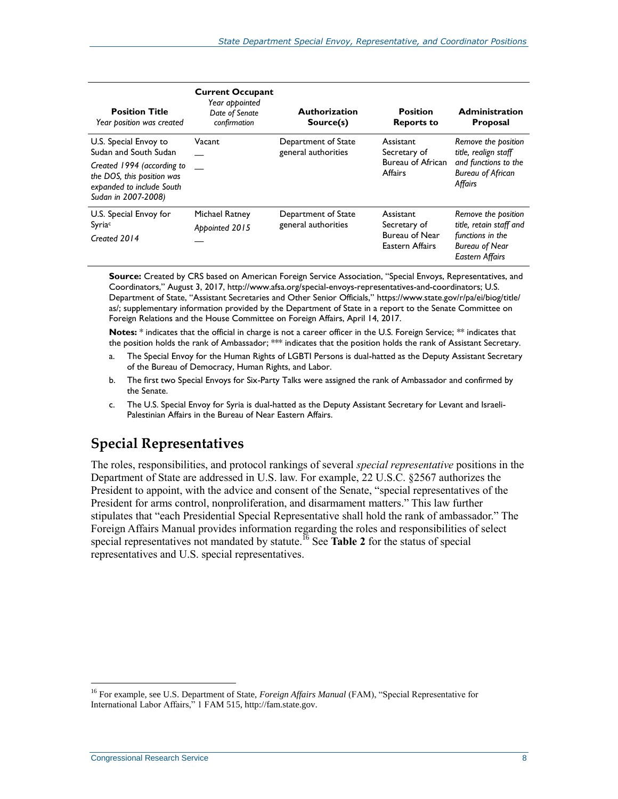| <b>Position Title</b><br>Year position was created                                                                                                             | <b>Current Occupant</b><br>Year appointed<br>Date of Senate<br>confirmation | <b>Authorization</b><br>Source(s)          | <b>Position</b><br><b>Reports to</b>                                    | <b>Administration</b><br><b>Proposal</b>                                                                              |
|----------------------------------------------------------------------------------------------------------------------------------------------------------------|-----------------------------------------------------------------------------|--------------------------------------------|-------------------------------------------------------------------------|-----------------------------------------------------------------------------------------------------------------------|
| U.S. Special Envoy to<br>Sudan and South Sudan<br>Created 1994 (according to<br>the DOS, this position was<br>expanded to include South<br>Sudan in 2007-2008) | Vacant                                                                      | Department of State<br>general authorities | Assistant<br>Secretary of<br><b>Bureau of African</b><br><b>Affairs</b> | Remove the position<br>title, realign staff<br>and functions to the<br><b>Bureau of African</b><br>Affairs            |
| U.S. Special Envoy for<br>Syriac<br>Created 2014                                                                                                               | <b>Michael Ratney</b><br>Appointed 2015                                     | Department of State<br>general authorities | Assistant<br>Secretary of<br>Bureau of Near<br>Eastern Affairs          | Remove the position<br>title, retain staff and<br>functions in the<br><b>Bureau of Near</b><br><b>Eastern Affairs</b> |

**Source:** Created by CRS based on American Foreign Service Association, "Special Envoys, Representatives, and Coordinators," August 3, 2017[, http://www.afsa.org/special-envoys-representatives-and-coordinators;](http://www.afsa.org/special-envoys-representatives-and-coordinators) U.S. Department of State, "Assistant Secretaries and Other Senior Officials," https://www.state.gov/r/pa/ei/biog/title/ as/; supplementary information provided by the Department of State in a report to the Senate Committee on Foreign Relations and the House Committee on Foreign Affairs, April 14, 2017.

**Notes:** \* indicates that the official in charge is not a career officer in the U.S. Foreign Service; \*\* indicates that the position holds the rank of Ambassador; \*\*\* indicates that the position holds the rank of Assistant Secretary.

- <span id="page-10-0"></span>a. The Special Envoy for the Human Rights of LGBTI Persons is dual-hatted as the Deputy Assistant Secretary of the Bureau of Democracy, Human Rights, and Labor.
- <span id="page-10-1"></span>b. The first two Special Envoys for Six-Party Talks were assigned the rank of Ambassador and confirmed by the Senate.
- <span id="page-10-2"></span>c. The U.S. Special Envoy for Syria is dual-hatted as the Deputy Assistant Secretary for Levant and Israeli-Palestinian Affairs in the Bureau of Near Eastern Affairs.

### **Special Representatives**

The roles, responsibilities, and protocol rankings of several *special representative* positions in the Department of State are addressed in U.S. law. For example, 22 U.S.C. §2567 authorizes the President to appoint, with the advice and consent of the Senate, "special representatives of the President for arms control, nonproliferation, and disarmament matters." This law further stipulates that "each Presidential Special Representative shall hold the rank of ambassador." The Foreign Affairs Manual provides information regarding the roles and responsibilities of select special representatives not mandated by statute.<sup>16</sup> See **[Table 2](#page-11-0)** for the status of special representatives and U.S. special representatives.

<sup>16</sup> For example, see U.S. Department of State, *Foreign Affairs Manual* (FAM), "Special Representative for International Labor Affairs," 1 FAM 515, http://fam.state.gov.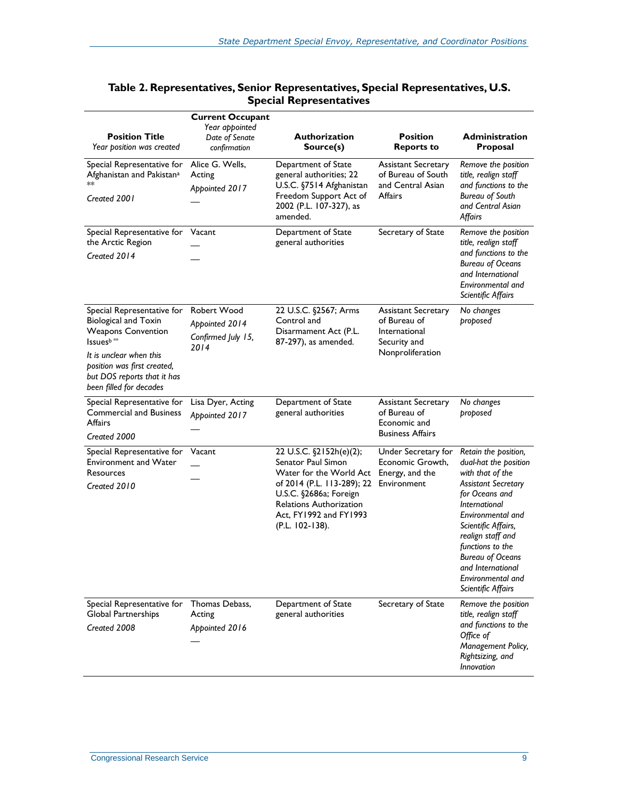| <b>Position Title</b><br>Year position was created                                                                                                                                                                                  | <b>Current Occupant</b><br>Year appointed<br>Date of Senate<br>confirmation | <b>Authorization</b><br>Source(s)                                                                                                                                                                        | <b>Position</b><br><b>Reports to</b>                                                            | <b>Administration</b><br>Proposal                                                                                                                                                                                                                                                                                         |
|-------------------------------------------------------------------------------------------------------------------------------------------------------------------------------------------------------------------------------------|-----------------------------------------------------------------------------|----------------------------------------------------------------------------------------------------------------------------------------------------------------------------------------------------------|-------------------------------------------------------------------------------------------------|---------------------------------------------------------------------------------------------------------------------------------------------------------------------------------------------------------------------------------------------------------------------------------------------------------------------------|
| Special Representative for<br>Afghanistan and Pakistan <sup>a</sup><br>**<br>Created 2001                                                                                                                                           | Alice G. Wells,<br>Acting<br>Appointed 2017                                 | Department of State<br>general authorities; 22<br>U.S.C. §7514 Afghanistan<br>Freedom Support Act of<br>2002 (P.L. 107-327), as<br>amended.                                                              | <b>Assistant Secretary</b><br>of Bureau of South<br>and Central Asian<br>Affairs                | Remove the position<br>title, realign staff<br>and functions to the<br><b>Bureau of South</b><br>and Central Asian<br><b>Affairs</b>                                                                                                                                                                                      |
| Special Representative for Vacant<br>the Arctic Region<br>Created 2014                                                                                                                                                              |                                                                             | Department of State<br>general authorities                                                                                                                                                               | Secretary of State                                                                              | Remove the position<br>title, realign staff<br>and functions to the<br><b>Bureau of Oceans</b><br>and International<br>Environmental and<br>Scientific Affairs                                                                                                                                                            |
| Special Representative for<br><b>Biological and Toxin</b><br><b>Weapons Convention</b><br>Issuesb <sup>**</sup><br>It is unclear when this<br>position was first created,<br>but DOS reports that it has<br>been filled for decades | Robert Wood<br>Appointed 2014<br>Confirmed July 15,<br>2014                 | 22 U.S.C. §2567; Arms<br>Control and<br>Disarmament Act (P.L.<br>87-297), as amended.                                                                                                                    | <b>Assistant Secretary</b><br>of Bureau of<br>International<br>Security and<br>Nonproliferation | No changes<br>proposed                                                                                                                                                                                                                                                                                                    |
| Special Representative for<br><b>Commercial and Business</b><br>Affairs<br>Created 2000                                                                                                                                             | Lisa Dyer, Acting<br>Appointed 2017                                         | Department of State<br>general authorities                                                                                                                                                               | <b>Assistant Secretary</b><br>of Bureau of<br>Economic and<br><b>Business Affairs</b>           | No changes<br>proposed                                                                                                                                                                                                                                                                                                    |
| Special Representative for<br><b>Environment and Water</b><br>Resources<br>Created 2010                                                                                                                                             | Vacant                                                                      | 22 U.S.C. §2152h(e)(2);<br>Senator Paul Simon<br>Water for the World Act<br>of 2014 (P.L. 113-289); 22<br>U.S.C. §2686a; Foreign<br>Relations Authorization<br>Act, FY1992 and FY1993<br>(P.L. 102-138). | Under Secretary for<br>Economic Growth,<br>Energy, and the<br>Environment                       | Retain the position,<br>dual-hat the position<br>with that of the<br><b>Assistant Secretary</b><br>for Oceans and<br><b>International</b><br>Environmental and<br>Scientific Affairs,<br>realign staff and<br>functions to the<br><b>Bureau of Oceans</b><br>and International<br>Environmental and<br>Scientific Affairs |
| Special Representative for<br>Global Partnerships<br>Created 2008                                                                                                                                                                   | Thomas Debass,<br>Acting<br>Appointed 2016                                  | Department of State<br>general authorities                                                                                                                                                               | Secretary of State                                                                              | Remove the position<br>title, realign staff<br>and functions to the<br>Office of<br>Management Policy,<br>Rightsizing, and<br>Innovation                                                                                                                                                                                  |

#### <span id="page-11-0"></span>**Table 2. Representatives, Senior Representatives, Special Representatives, U.S. Special Representatives**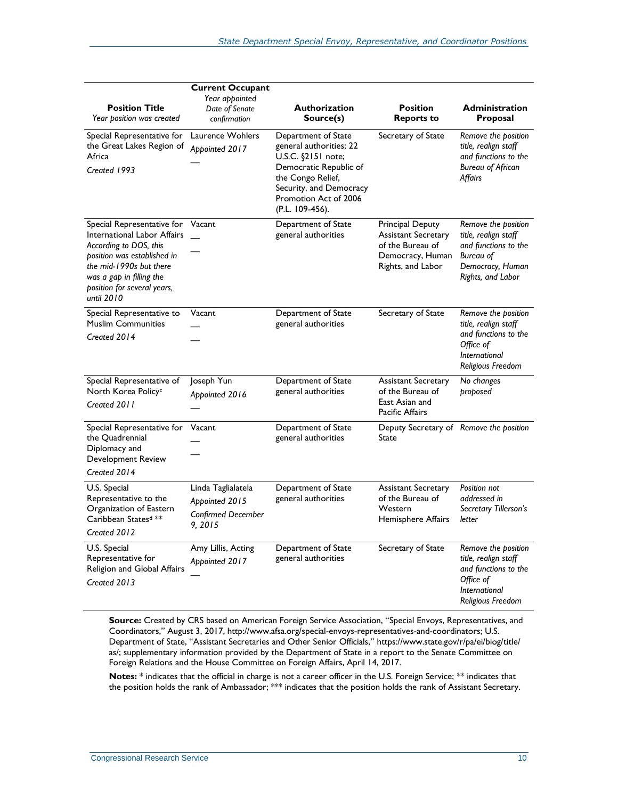| <b>Position Title</b><br>Year position was created                                                                                                                                                                            | <b>Current Occupant</b><br>Year appointed<br>Date of Senate<br>confirmation | <b>Authorization</b><br>Source(s)                                                                                                                                                          | <b>Position</b><br><b>Reports to</b>                                                                        | <b>Administration</b><br>Proposal                                                                                                |
|-------------------------------------------------------------------------------------------------------------------------------------------------------------------------------------------------------------------------------|-----------------------------------------------------------------------------|--------------------------------------------------------------------------------------------------------------------------------------------------------------------------------------------|-------------------------------------------------------------------------------------------------------------|----------------------------------------------------------------------------------------------------------------------------------|
| Special Representative for<br>the Great Lakes Region of<br>Africa<br>Created 1993                                                                                                                                             | Laurence Wohlers<br>Appointed 2017                                          | Department of State<br>general authorities; 22<br>U.S.C. §2151 note;<br>Democratic Republic of<br>the Congo Relief,<br>Security, and Democracy<br>Promotion Act of 2006<br>(P.L. 109-456). | Secretary of State                                                                                          | Remove the position<br>title, realign staff<br>and functions to the<br><b>Bureau of African</b><br>Affairs                       |
| Special Representative for<br><b>International Labor Affairs</b><br>According to DOS, this<br>position was established in<br>the mid-1990s but there<br>was a gap in filling the<br>position for several years,<br>until 2010 | Vacant                                                                      | Department of State<br>general authorities                                                                                                                                                 | Principal Deputy<br><b>Assistant Secretary</b><br>of the Bureau of<br>Democracy, Human<br>Rights, and Labor | Remove the position<br>title, realign staff<br>and functions to the<br><b>Bureau of</b><br>Democracy, Human<br>Rights, and Labor |
| Special Representative to<br><b>Muslim Communities</b><br>Created 2014                                                                                                                                                        | Vacant                                                                      | Department of State<br>general authorities                                                                                                                                                 | Secretary of State                                                                                          | Remove the position<br>title, realign staff<br>and functions to the<br>Office of<br>International<br>Religious Freedom           |
| Special Representative of<br>North Korea Policy <sup>c</sup><br>Created 2011                                                                                                                                                  | Joseph Yun<br>Appointed 2016                                                | Department of State<br>general authorities                                                                                                                                                 | Assistant Secretary<br>of the Bureau of<br>East Asian and<br>Pacific Affairs                                | No changes<br>proposed                                                                                                           |
| Special Representative for<br>the Quadrennial<br>Diplomacy and<br>Development Review<br>Created 2014                                                                                                                          | Vacant                                                                      | Department of State<br>general authorities                                                                                                                                                 | Deputy Secretary of Remove the position<br>State                                                            |                                                                                                                                  |
| U.S. Special<br>Representative to the<br>Organization of Eastern<br>Caribbean Statesd **<br>Created 2012                                                                                                                      | Linda Taglialatela<br>Appointed 2015<br>Confirmed December<br>9, 2015       | Department of State<br>general authorities                                                                                                                                                 | <b>Assistant Secretary</b><br>of the Bureau of<br>Western<br>Hemisphere Affairs                             | Position not<br>addressed in<br>Secretary Tillerson's<br>letter                                                                  |
| U.S. Special<br>Representative for<br>Religion and Global Affairs<br>Created 2013                                                                                                                                             | Amy Lillis, Acting<br>Appointed 2017                                        | Department of State<br>general authorities                                                                                                                                                 | Secretary of State                                                                                          | Remove the position<br>title, realign staff<br>and functions to the<br>Office of<br>International<br>Religious Freedom           |

**Source:** Created by CRS based on American Foreign Service Association, "Special Envoys, Representatives, and Coordinators," August 3, 2017, http://www.afsa.org/special-envoys-representatives-and-coordinators; U.S. Department of State, "Assistant Secretaries and Other Senior Officials," [https://www.state.gov/r/pa/ei/biog/title/](https://www.state.gov/r/pa/ei/biog/title/as/) [as/;](https://www.state.gov/r/pa/ei/biog/title/as/) supplementary information provided by the Department of State in a report to the Senate Committee on Foreign Relations and the House Committee on Foreign Affairs, April 14, 2017.

**Notes:** \* indicates that the official in charge is not a career officer in the U.S. Foreign Service; \*\* indicates that the position holds the rank of Ambassador; \*\*\* indicates that the position holds the rank of Assistant Secretary.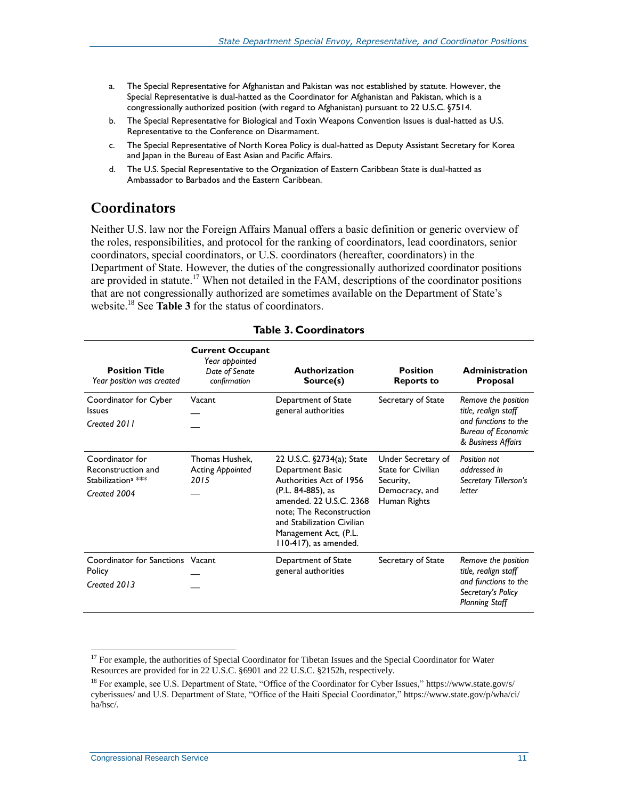- <span id="page-13-0"></span>a. The Special Representative for Afghanistan and Pakistan was not established by statute. However, the Special Representative is dual-hatted as the Coordinator for Afghanistan and Pakistan, which is a congressionally authorized position (with regard to Afghanistan) pursuant to 22 U.S.C. §7514.
- <span id="page-13-1"></span>b. The Special Representative for Biological and Toxin Weapons Convention Issues is dual-hatted as U.S. Representative to the Conference on Disarmament.
- <span id="page-13-2"></span>c. The Special Representative of North Korea Policy is dual-hatted as Deputy Assistant Secretary for Korea and Japan in the Bureau of East Asian and Pacific Affairs.
- <span id="page-13-3"></span>d. The U.S. Special Representative to the Organization of Eastern Caribbean State is dual-hatted as Ambassador to Barbados and the Eastern Caribbean.

### **Coordinators**

Neither U.S. law nor the Foreign Affairs Manual offers a basic definition or generic overview of the roles, responsibilities, and protocol for the ranking of coordinators, lead coordinators, senior coordinators, special coordinators, or U.S. coordinators (hereafter, coordinators) in the Department of State. However, the duties of the congressionally authorized coordinator positions are provided in statute.<sup>17</sup> When not detailed in the FAM, descriptions of the coordinator positions that are not congressionally authorized are sometimes available on the Department of State's website.<sup>18</sup> See **[Table 3](#page-13-4)** for the status of coordinators.

<span id="page-13-4"></span>

| <b>Position Title</b><br>Year position was created                                      | <b>Current Occupant</b><br>Year appointed<br>Date of Senate<br>confirmation | <b>Authorization</b><br>Source(s)                                                                                                                                                                                                    | <b>Position</b><br><b>Reports to</b>                                                           | <b>Administration</b><br><b>Proposal</b>                                                                               |
|-----------------------------------------------------------------------------------------|-----------------------------------------------------------------------------|--------------------------------------------------------------------------------------------------------------------------------------------------------------------------------------------------------------------------------------|------------------------------------------------------------------------------------------------|------------------------------------------------------------------------------------------------------------------------|
| Coordinator for Cyber<br><b>Issues</b><br>Created 2011                                  | Vacant                                                                      | Department of State<br>general authorities                                                                                                                                                                                           | Secretary of State                                                                             | Remove the position<br>title, realign staff<br>and functions to the<br><b>Bureau of Economic</b><br>& Business Affairs |
| Coordinator for<br>Reconstruction and<br>Stabilization <sup>a</sup> ***<br>Created 2004 | Thomas Hushek.<br><b>Acting Appointed</b><br>2015                           | 22 U.S.C. §2734(a); State<br>Department Basic<br>Authorities Act of 1956<br>(P.L. 84-885), as<br>amended, 22 U.S.C. 2368<br>note; The Reconstruction<br>and Stabilization Civilian<br>Management Act, (P.L.<br>110-417), as amended. | Under Secretary of<br><b>State for Civilian</b><br>Security,<br>Democracy, and<br>Human Rights | Position not<br>addressed in<br>Secretary Tillerson's<br>letter                                                        |
| Coordinator for Sanctions Vacant<br>Policy<br>Created 2013                              |                                                                             | Department of State<br>general authorities                                                                                                                                                                                           | Secretary of State                                                                             | Remove the position<br>title, realign staff<br>and functions to the<br>Secretary's Policy<br><b>Planning Staff</b>     |

#### **Table 3. Coordinators**

<sup>&</sup>lt;sup>17</sup> For example, the authorities of Special Coordinator for Tibetan Issues and the Special Coordinator for Water Resources are provided for in 22 U.S.C. §6901 and 22 U.S.C. §2152h, respectively.

<sup>&</sup>lt;sup>18</sup> For example, see U.S. Department of State, "Office of the Coordinator for Cyber Issues," https://www.state.gov/s/ cyberissues/ and U.S. Department of State, "Office of the Haiti Special Coordinator," https://www.state.gov/p/wha/ci/ ha/hsc/.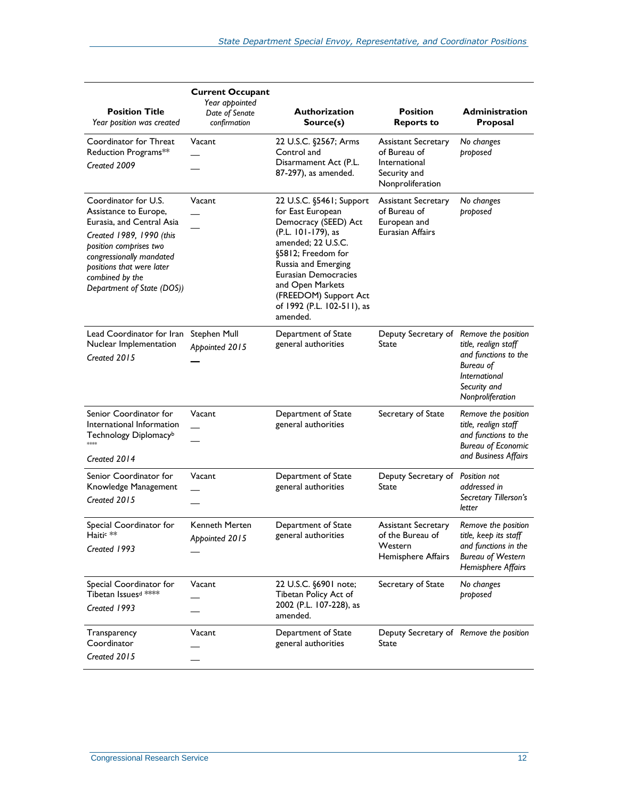| <b>Position Title</b><br>Year position was created                                                                                                                                                                                         | <b>Current Occupant</b><br>Year appointed<br>Date of Senate<br>confirmation | <b>Authorization</b><br>Source(s)                                                                                                                                                                                                                                             | <b>Position</b><br><b>Reports to</b>                                                            | Administration<br><b>Proposal</b>                                                                                        |
|--------------------------------------------------------------------------------------------------------------------------------------------------------------------------------------------------------------------------------------------|-----------------------------------------------------------------------------|-------------------------------------------------------------------------------------------------------------------------------------------------------------------------------------------------------------------------------------------------------------------------------|-------------------------------------------------------------------------------------------------|--------------------------------------------------------------------------------------------------------------------------|
| Coordinator for Threat<br>Reduction Programs**<br>Created 2009                                                                                                                                                                             | Vacant                                                                      | 22 U.S.C. §2567; Arms<br>Control and<br>Disarmament Act (P.L.<br>87-297), as amended.                                                                                                                                                                                         | <b>Assistant Secretary</b><br>of Bureau of<br>International<br>Security and<br>Nonproliferation | No changes<br>proposed                                                                                                   |
| Coordinator for U.S.<br>Assistance to Europe,<br>Eurasia, and Central Asia<br>Created 1989, 1990 (this<br>position comprises two<br>congressionally mandated<br>positions that were later<br>combined by the<br>Department of State (DOS)) | Vacant                                                                      | 22 U.S.C. §5461; Support<br>for East European<br>Democracy (SEED) Act<br>(P.L. 101-179), as<br>amended; 22 U.S.C.<br>§5812; Freedom for<br>Russia and Emerging<br>Eurasian Democracies<br>and Open Markets<br>(FREEDOM) Support Act<br>of 1992 (P.L. 102-511), as<br>amended. | <b>Assistant Secretary</b><br>of Bureau of<br>European and<br><b>Eurasian Affairs</b>           | No changes<br>proposed                                                                                                   |
| Lead Coordinator for Iran<br>Nuclear Implementation<br>Created 2015                                                                                                                                                                        | <b>Stephen Mull</b><br>Appointed 2015                                       | Department of State<br>general authorities                                                                                                                                                                                                                                    | Deputy Secretary of Remove the position<br>State                                                | title, realign staff<br>and functions to the<br><b>Bureau of</b><br>International<br>Security and<br>Nonproliferation    |
| Senior Coordinator for<br>International Information<br>Technology Diplomacy <sup>b</sup><br>stojojoj:<br>Created 2014                                                                                                                      | Vacant                                                                      | Department of State<br>general authorities                                                                                                                                                                                                                                    | Secretary of State                                                                              | Remove the position<br>title, realign staff<br>and functions to the<br><b>Bureau of Economic</b><br>and Business Affairs |
| Senior Coordinator for<br>Knowledge Management<br>Created 2015                                                                                                                                                                             | Vacant                                                                      | Department of State<br>general authorities                                                                                                                                                                                                                                    | Deputy Secretary of Position not<br>State                                                       | addressed in<br>Secretary Tillerson's<br>letter                                                                          |
| Special Coordinator for<br>Haitic **<br>Created 1993                                                                                                                                                                                       | Kenneth Merten<br>Appointed 2015                                            | Department of State<br>general authorities                                                                                                                                                                                                                                    | <b>Assistant Secretary</b><br>of the Bureau of<br>Western<br>Hemisphere Affairs                 | Remove the position<br>title, keep its staff<br>and functions in the<br><b>Bureau of Western</b><br>Hemisphere Affairs   |
| Special Coordinator for<br>Tibetan Issues <sup>d ****</sup><br>Created 1993                                                                                                                                                                | Vacant                                                                      | 22 U.S.C. §6901 note;<br>Tibetan Policy Act of<br>2002 (P.L. 107-228), as<br>amended.                                                                                                                                                                                         | Secretary of State                                                                              | No changes<br>proposed                                                                                                   |
| Transparency<br>Coordinator<br>Created 2015                                                                                                                                                                                                | Vacant                                                                      | Department of State<br>general authorities                                                                                                                                                                                                                                    | Deputy Secretary of Remove the position<br>State                                                |                                                                                                                          |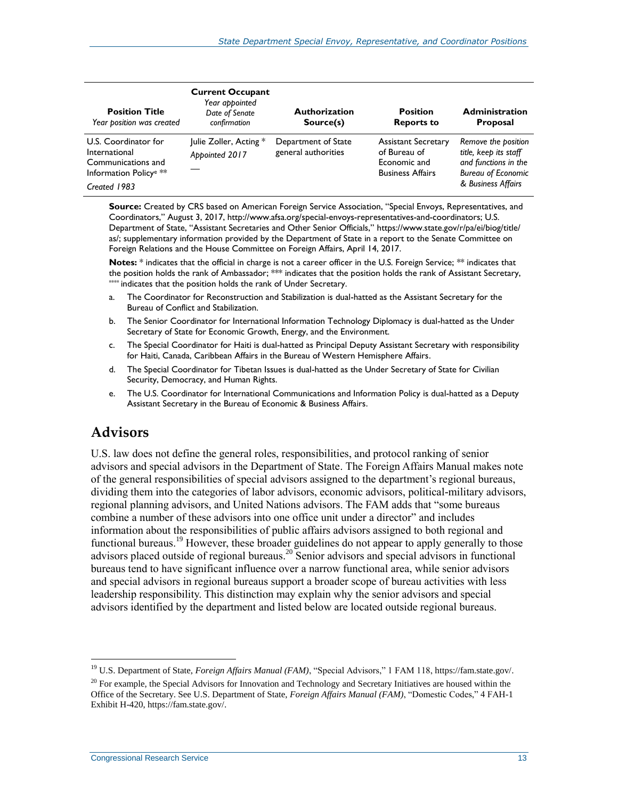| <b>Position Title</b><br>Year position was created                                                                | <b>Current Occupant</b><br>Year appointed<br>Date of Senate<br>confirmation | <b>Authorization</b><br>Source(s)          | <b>Position</b><br><b>Reports to</b>                                                  | <b>Administration</b><br><b>Proposal</b>                                                                                |
|-------------------------------------------------------------------------------------------------------------------|-----------------------------------------------------------------------------|--------------------------------------------|---------------------------------------------------------------------------------------|-------------------------------------------------------------------------------------------------------------------------|
| U.S. Coordinator for<br>International<br>Communications and<br>Information Policy <sup>e</sup> **<br>Created 1983 | Julie Zoller, Acting *<br>Appointed 2017                                    | Department of State<br>general authorities | <b>Assistant Secretary</b><br>of Bureau of<br>Economic and<br><b>Business Affairs</b> | Remove the position<br>title, keep its staff<br>and functions in the<br><b>Bureau of Economic</b><br>& Business Affairs |

**Source:** Created by CRS based on American Foreign Service Association, "Special Envoys, Representatives, and Coordinators," August 3, 2017, http://www.afsa.org/special-envoys-representatives-and-coordinators; U.S. Department of State, "Assistant Secretaries and Other Senior Officials," [https://www.state.gov/r/pa/ei/biog/title/](https://www.state.gov/r/pa/ei/biog/title/as/) [as/;](https://www.state.gov/r/pa/ei/biog/title/as/) supplementary information provided by the Department of State in a report to the Senate Committee on Foreign Relations and the House Committee on Foreign Affairs, April 14, 2017.

Notes: \* indicates that the official in charge is not a career officer in the U.S. Foreign Service; \*\* indicates that the position holds the rank of Ambassador; \*\*\* indicates that the position holds the rank of Assistant Secretary,  $*$  indicates that the position holds the rank of Under Secretary.

- <span id="page-15-0"></span>a. The Coordinator for Reconstruction and Stabilization is dual-hatted as the Assistant Secretary for the Bureau of Conflict and Stabilization.
- <span id="page-15-1"></span>b. The Senior Coordinator for International Information Technology Diplomacy is dual-hatted as the Under Secretary of State for Economic Growth, Energy, and the Environment.
- <span id="page-15-2"></span>c. The Special Coordinator for Haiti is dual-hatted as Principal Deputy Assistant Secretary with responsibility for Haiti, Canada, Caribbean Affairs in the Bureau of Western Hemisphere Affairs.
- <span id="page-15-3"></span>d. The Special Coordinator for Tibetan Issues is dual-hatted as the Under Secretary of State for Civilian Security, Democracy, and Human Rights.
- <span id="page-15-4"></span>e. The U.S. Coordinator for International Communications and Information Policy is dual-hatted as a Deputy Assistant Secretary in the Bureau of Economic & Business Affairs.

#### **Advisors**

U.S. law does not define the general roles, responsibilities, and protocol ranking of senior advisors and special advisors in the Department of State. The Foreign Affairs Manual makes note of the general responsibilities of special advisors assigned to the department's regional bureaus, dividing them into the categories of labor advisors, economic advisors, political-military advisors, regional planning advisors, and United Nations advisors. The FAM adds that "some bureaus combine a number of these advisors into one office unit under a director" and includes information about the responsibilities of public affairs advisors assigned to both regional and functional bureaus.<sup>19</sup> However, these broader guidelines do not appear to apply generally to those advisors placed outside of regional bureaus.<sup>20</sup> Senior advisors and special advisors in functional bureaus tend to have significant influence over a narrow functional area, while senior advisors and special advisors in regional bureaus support a broader scope of bureau activities with less leadership responsibility. This distinction may explain why the senior advisors and special advisors identified by the department and listed below are located outside regional bureaus.

 $\overline{a}$ <sup>19</sup> U.S. Department of State, *Foreign Affairs Manual (FAM)*, "Special Advisors," 1 FAM 118, https://fam.state.gov/.

 $^{20}$  For example, the Special Advisors for Innovation and Technology and Secretary Initiatives are housed within the Office of the Secretary. See U.S. Department of State, *Foreign Affairs Manual (FAM)*, "Domestic Codes," 4 FAH-1 Exhibit H-420, https://fam.state.gov/.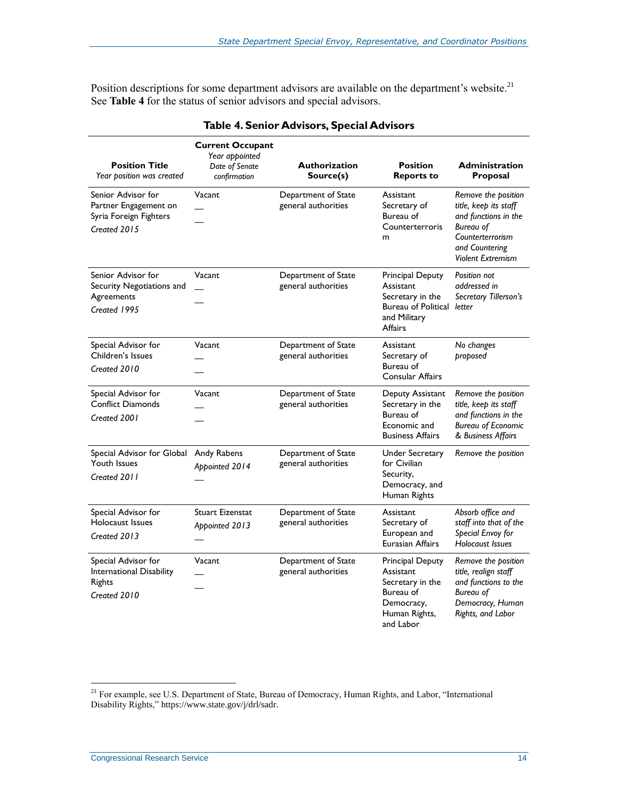Position descriptions for some department advisors are available on the department's website.<sup>21</sup> See **[Table 4](#page-16-0)** for the status of senior advisors and special advisors.

<span id="page-16-0"></span>

| <b>Position Title</b><br>Year position was created                                    | <b>Current Occupant</b><br>Year appointed<br>Date of Senate<br>confirmation | <b>Authorization</b><br>Source(s)          | <b>Position</b><br><b>Reports to</b>                                                                       | <b>Administration</b><br>Proposal                                                                                                                   |
|---------------------------------------------------------------------------------------|-----------------------------------------------------------------------------|--------------------------------------------|------------------------------------------------------------------------------------------------------------|-----------------------------------------------------------------------------------------------------------------------------------------------------|
| Senior Advisor for<br>Partner Engagement on<br>Syria Foreign Fighters<br>Created 2015 | Vacant                                                                      | Department of State<br>general authorities | Assistant<br>Secretary of<br>Bureau of<br>Counterterroris<br>m                                             | Remove the position<br>title, keep its staff<br>and functions in the<br>Bureau of<br>Counterterrorism<br>and Countering<br><b>Violent Extremism</b> |
| Senior Advisor for<br>Security Negotiations and<br>Agreements<br>Created 1995         | Vacant                                                                      | Department of State<br>general authorities | Principal Deputy<br>Assistant<br>Secretary in the<br>Bureau of Political letter<br>and Military<br>Affairs | Position not<br>addressed in<br>Secretary Tillerson's                                                                                               |
| Special Advisor for<br>Children's Issues<br>Created 2010                              | Vacant                                                                      | Department of State<br>general authorities | Assistant<br>Secretary of<br>Bureau of<br>Consular Affairs                                                 | No changes<br>proposed                                                                                                                              |
| Special Advisor for<br><b>Conflict Diamonds</b><br>Created 2001                       | Vacant                                                                      | Department of State<br>general authorities | Deputy Assistant<br>Secretary in the<br>Bureau of<br>Economic and<br><b>Business Affairs</b>               | Remove the position<br>title, keep its staff<br>and functions in the<br><b>Bureau of Economic</b><br>& Business Affairs                             |
| Special Advisor for Global<br>Youth Issues<br>Created 2011                            | Andy Rabens<br>Appointed 2014                                               | Department of State<br>general authorities | Under Secretary<br>for Civilian<br>Security,<br>Democracy, and<br>Human Rights                             | Remove the position                                                                                                                                 |
| Special Advisor for<br>Holocaust Issues<br>Created 2013                               | <b>Stuart Eizenstat</b><br>Appointed 2013                                   | Department of State<br>general authorities | Assistant<br>Secretary of<br>European and<br>Eurasian Affairs                                              | Absorb office and<br>staff into that of the<br>Special Envoy for<br><b>Holocaust Issues</b>                                                         |
| Special Advisor for<br>International Disability<br><b>Rights</b><br>Created 2010      | Vacant                                                                      | Department of State<br>general authorities | Principal Deputy<br>Assistant<br>Secretary in the<br>Bureau of<br>Democracy,<br>Human Rights,<br>and Labor | Remove the position<br>title, realign staff<br>and functions to the<br>Bureau of<br>Democracy, Human<br>Rights, and Labor                           |

#### **Table 4. Senior Advisors, Special Advisors**

<sup>&</sup>lt;sup>21</sup> For example, see U.S. Department of State, Bureau of Democracy, Human Rights, and Labor, "International Disability Rights," https://www.state.gov/j/drl/sadr.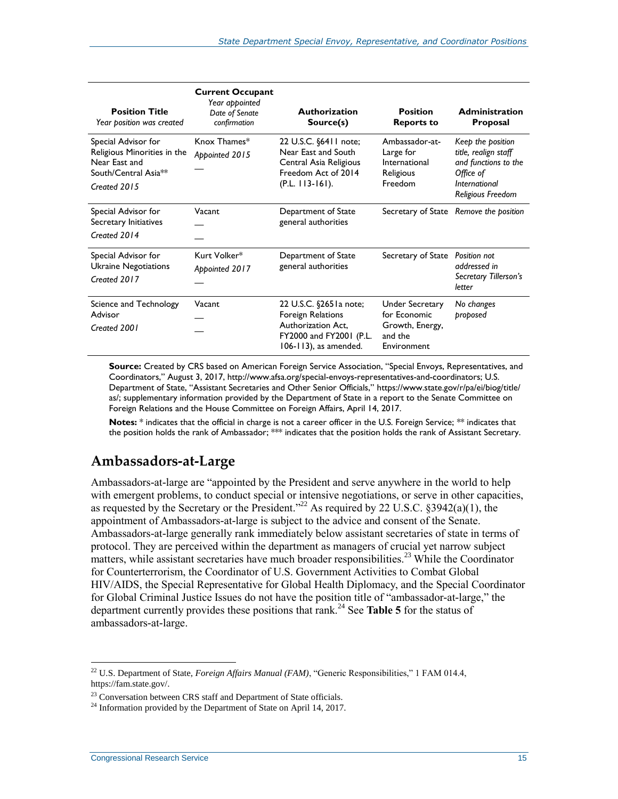| <b>Position Title</b><br>Year position was created                                                                      | <b>Current Occupant</b><br>Year appointed<br>Date of Senate<br>confirmation | <b>Authorization</b><br>Source(s)                                                                                            | <b>Position</b><br><b>Reports to</b>                                         | <b>Administration</b><br><b>Proposal</b>                                                                             |
|-------------------------------------------------------------------------------------------------------------------------|-----------------------------------------------------------------------------|------------------------------------------------------------------------------------------------------------------------------|------------------------------------------------------------------------------|----------------------------------------------------------------------------------------------------------------------|
| Special Advisor for<br>Religious Minorities in the<br>Near East and<br>South/Central Asia <sup>**</sup><br>Created 2015 | Knox Thames*<br>Appointed 2015                                              | 22 U.S.C. §6411 note;<br>Near East and South<br>Central Asia Religious<br>Freedom Act of 2014<br>$(P.L. 113-161).$           | Ambassador-at-<br>Large for<br>International<br>Religious<br>Freedom         | Keep the position<br>title, realign staff<br>and functions to the<br>Office of<br>International<br>Religious Freedom |
| Special Advisor for<br>Secretary Initiatives<br>Created 2014                                                            | Vacant                                                                      | Department of State<br>general authorities                                                                                   |                                                                              | Secretary of State Remove the position                                                                               |
| Special Advisor for<br>Ukraine Negotiations<br>Created 2017                                                             | Kurt Volker*<br>Appointed 2017                                              | Department of State<br>general authorities                                                                                   | Secretary of State                                                           | Position not<br>addressed in<br>Secretary Tillerson's<br>letter                                                      |
| Science and Technology<br>Advisor<br>Created 2001                                                                       | Vacant                                                                      | 22 U.S.C. §2651a note;<br><b>Foreign Relations</b><br>Authorization Act,<br>FY2000 and FY2001 (P.L.<br>106-113), as amended. | Under Secretary<br>for Economic<br>Growth, Energy,<br>and the<br>Environment | No changes<br>proposed                                                                                               |

**Source:** Created by CRS based on American Foreign Service Association, "Special Envoys, Representatives, and Coordinators," August 3, 2017[, http://www.afsa.org/special-envoys-representatives-and-coordinators;](http://www.afsa.org/special-envoys-representatives-and-coordinators) U.S. Department of State, "Assistant Secretaries and Other Senior Officials," https://www.state.gov/r/pa/ei/biog/title/ as/; supplementary information provided by the Department of State in a report to the Senate Committee on Foreign Relations and the House Committee on Foreign Affairs, April 14, 2017.

**Notes:** \* indicates that the official in charge is not a career officer in the U.S. Foreign Service; \*\* indicates that the position holds the rank of Ambassador; \*\*\* indicates that the position holds the rank of Assistant Secretary.

#### **Ambassadors-at-Large**

Ambassadors-at-large are "appointed by the President and serve anywhere in the world to help with emergent problems, to conduct special or intensive negotiations, or serve in other capacities, as requested by the Secretary or the President."<sup>22</sup> As required by 22 U.S.C.  $\S 3942(a)(1)$ , the appointment of Ambassadors-at-large is subject to the advice and consent of the Senate. Ambassadors-at-large generally rank immediately below assistant secretaries of state in terms of protocol. They are perceived within the department as managers of crucial yet narrow subject matters, while assistant secretaries have much broader responsibilities.<sup>23</sup> While the Coordinator for Counterterrorism, the Coordinator of U.S. Government Activities to Combat Global HIV/AIDS, the Special Representative for Global Health Diplomacy, and the Special Coordinator for Global Criminal Justice Issues do not have the position title of "ambassador-at-large," the department currently provides these positions that rank.<sup>24</sup> See **[Table 5](#page-18-0)** for the status of ambassadors-at-large.

<sup>22</sup> U.S. Department of State, *Foreign Affairs Manual (FAM)*, "Generic Responsibilities," 1 FAM 014.4, https://fam.state.gov/.

<sup>&</sup>lt;sup>23</sup> Conversation between CRS staff and Department of State officials.

 $^{24}$  Information provided by the Department of State on April 14, 2017.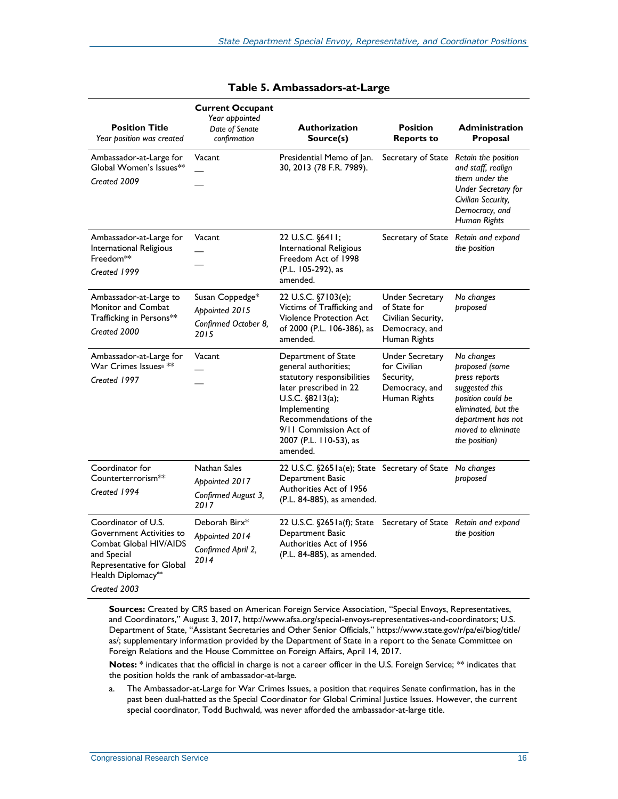<span id="page-18-0"></span>

| <b>Position Title</b><br>Year position was created                                                                                                          | <b>Current Occupant</b><br>Year appointed<br>Date of Senate<br>confirmation | <b>Authorization</b><br>Source(s)                                                                                                                                                                                                   | <b>Position</b><br><b>Reports to</b>                                                           | <b>Administration</b><br>Proposal                                                                                                                                        |
|-------------------------------------------------------------------------------------------------------------------------------------------------------------|-----------------------------------------------------------------------------|-------------------------------------------------------------------------------------------------------------------------------------------------------------------------------------------------------------------------------------|------------------------------------------------------------------------------------------------|--------------------------------------------------------------------------------------------------------------------------------------------------------------------------|
| Ambassador-at-Large for<br>Global Women's Issues**<br>Created 2009                                                                                          | Vacant                                                                      | Presidential Memo of Jan.<br>30, 2013 (78 F.R. 7989).                                                                                                                                                                               | Secretary of State                                                                             | Retain the position<br>and staff, realign<br>them under the<br><b>Under Secretary for</b><br>Civilian Security,<br>Democracy, and<br><b>Human Rights</b>                 |
| Ambassador-at-Large for<br>International Religious<br>Freedom <sup>**</sup><br>Created 1999                                                                 | Vacant                                                                      | 22 U.S.C. §6411;<br>International Religious<br>Freedom Act of 1998<br>(P.L. 105-292), as<br>amended.                                                                                                                                | Secretary of State Retain and expand                                                           | the position                                                                                                                                                             |
| Ambassador-at-Large to<br>Monitor and Combat<br>Trafficking in Persons**<br>Created 2000                                                                    | Susan Coppedge*<br>Appointed 2015<br>Confirmed October 8,<br>2015           | 22 U.S.C. §7103(e);<br>Victims of Trafficking and<br>Violence Protection Act<br>of 2000 (P.L. 106-386), as<br>amended.                                                                                                              | <b>Under Secretary</b><br>of State for<br>Civilian Security,<br>Democracy, and<br>Human Rights | No changes<br>proposed                                                                                                                                                   |
| Ambassador-at-Large for<br>War Crimes Issues <sup>a **</sup><br>Created 1997                                                                                | Vacant                                                                      | Department of State<br>general authorities;<br>statutory responsibilities<br>later prescribed in 22<br>U.S.C. $$8213(a);$<br>Implementing<br>Recommendations of the<br>9/11 Commission Act of<br>2007 (P.L. 110-53), as<br>amended. | <b>Under Secretary</b><br>for Civilian<br>Security,<br>Democracy, and<br>Human Rights          | No changes<br>proposed (some<br>press reports<br>suggested this<br>position could be<br>eliminated, but the<br>department has not<br>moved to eliminate<br>the position) |
| Coordinator for<br>Counterterrorism <sup>**</sup><br>Created 1994                                                                                           | Nathan Sales<br>Appointed 2017<br>Confirmed August 3,<br>2017               | 22 U.S.C. §265 la(e); State Secretary of State<br>Department Basic<br>Authorities Act of 1956<br>(P.L. 84-885), as amended.                                                                                                         |                                                                                                | No changes<br>proposed                                                                                                                                                   |
| Coordinator of U.S.<br>Government Activities to<br>Combat Global HIV/AIDS<br>and Special<br>Representative for Global<br>Health Diplomacy**<br>Created 2003 | Deborah Birx*<br>Appointed 2014<br>Confirmed April 2,<br>2014               | 22 U.S.C. §2651a(f); State Secretary of State Retain and expand<br>Department Basic<br>Authorities Act of 1956<br>(P.L. 84-885), as amended.                                                                                        |                                                                                                | the position                                                                                                                                                             |

| Table 5. Ambassadors-at-Large |  |  |  |  |  |
|-------------------------------|--|--|--|--|--|
|-------------------------------|--|--|--|--|--|

**Sources:** Created by CRS based on American Foreign Service Association, "Special Envoys, Representatives, and Coordinators," August 3, 2017[, http://www.afsa.org/special-envoys-representatives-and-coordinators;](http://www.afsa.org/special-envoys-representatives-and-coordinators) U.S. Department of State, "Assistant Secretaries and Other Senior Officials," https://www.state.gov/r/pa/ei/biog/title/ as/; supplementary information provided by the Department of State in a report to the Senate Committee on Foreign Relations and the House Committee on Foreign Affairs, April 14, 2017.

**Notes:** \* indicates that the official in charge is not a career officer in the U.S. Foreign Service; \*\* indicates that the position holds the rank of ambassador-at-large.

<span id="page-18-1"></span>a. The Ambassador-at-Large for War Crimes Issues, a position that requires Senate confirmation, has in the past been dual-hatted as the Special Coordinator for Global Criminal Justice Issues. However, the current special coordinator, Todd Buchwald, was never afforded the ambassador-at-large title.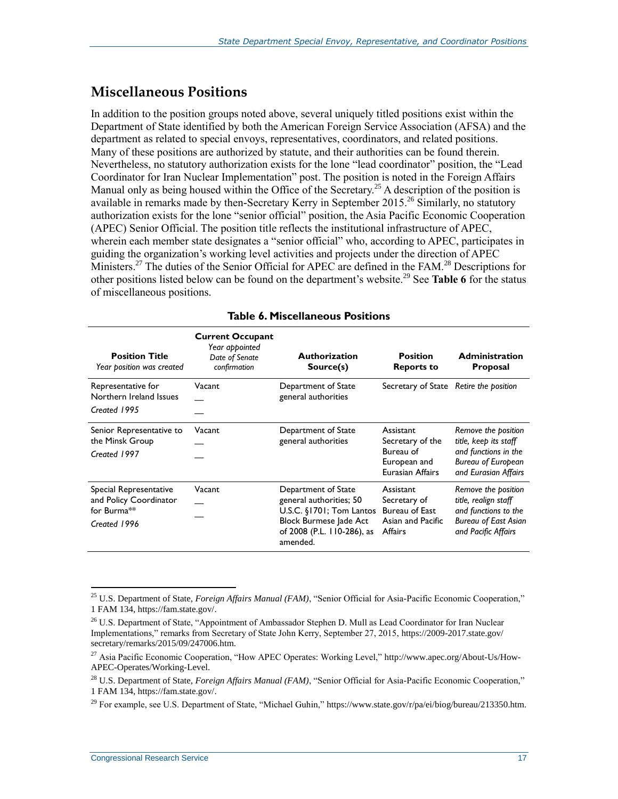#### **Miscellaneous Positions**

In addition to the position groups noted above, several uniquely titled positions exist within the Department of State identified by both the American Foreign Service Association (AFSA) and the department as related to special envoys, representatives, coordinators, and related positions. Many of these positions are authorized by statute, and their authorities can be found therein. Nevertheless, no statutory authorization exists for the lone "lead coordinator" position, the "Lead Coordinator for Iran Nuclear Implementation" post. The position is noted in the Foreign Affairs Manual only as being housed within the Office of the Secretary.<sup>25</sup> A description of the position is available in remarks made by then-Secretary Kerry in September 2015.<sup>26</sup> Similarly, no statutory authorization exists for the lone "senior official" position, the Asia Pacific Economic Cooperation (APEC) Senior Official. The position title reflects the institutional infrastructure of APEC, wherein each member state designates a "senior official" who, according to APEC, participates in guiding the organization's working level activities and projects under the direction of APEC Ministers.<sup>27</sup> The duties of the Senior Official for APEC are defined in the FAM.<sup>28</sup> Descriptions for other positions listed below can be found on the department's website.<sup>29</sup> See **[Table 6](#page-19-0)** for the status of miscellaneous positions.

<span id="page-19-0"></span>

| <b>Position Title</b><br>Year position was created                                                       | <b>Current Occupant</b><br>Year appointed<br>Date of Senate<br>confirmation | <b>Authorization</b><br>Source(s)                                                                                                              | <b>Position</b><br><b>Reports to</b>                                           | <b>Administration</b><br><b>Proposal</b>                                                                                  |
|----------------------------------------------------------------------------------------------------------|-----------------------------------------------------------------------------|------------------------------------------------------------------------------------------------------------------------------------------------|--------------------------------------------------------------------------------|---------------------------------------------------------------------------------------------------------------------------|
| Representative for<br>Northern Ireland Issues<br>Created 1995                                            | Vacant                                                                      | Department of State<br>general authorities                                                                                                     | Secretary of State Retire the position                                         |                                                                                                                           |
| Senior Representative to<br>the Minsk Group<br>Created 1997                                              | Vacant                                                                      | Department of State<br>general authorities                                                                                                     | Assistant<br>Secretary of the<br>Bureau of<br>European and<br>Eurasian Affairs | Remove the position<br>title, keep its staff<br>and functions in the<br><b>Bureau of European</b><br>and Eurasian Affairs |
| Special Representative<br>and Policy Coordinator<br>for Burma <sup><math>**</math></sup><br>Created 1996 | Vacant                                                                      | Department of State<br>general authorities; 50<br>U.S.C. §1701; Tom Lantos<br>Block Burmese Jade Act<br>of 2008 (P.L. 110-286), as<br>amended. | Assistant<br>Secretary of<br>Bureau of East<br>Asian and Pacific<br>Affairs    | Remove the position<br>title, realign staff<br>and functions to the<br><b>Bureau of East Asian</b><br>and Pacific Affairs |

#### **Table 6. Miscellaneous Positions**

<sup>25</sup> U.S. Department of State, *Foreign Affairs Manual (FAM)*, "Senior Official for Asia-Pacific Economic Cooperation," 1 FAM 134, https://fam.state.gov/.

<sup>&</sup>lt;sup>26</sup> U.S. Department of State, "Appointment of Ambassador Stephen D. Mull as Lead Coordinator for Iran Nuclear Implementations," remarks from Secretary of State John Kerry, September 27, 2015, https://2009-2017.state.gov/ secretary/remarks/2015/09/247006.htm.

<sup>&</sup>lt;sup>27</sup> Asia Pacific Economic Cooperation, "How APEC Operates: Working Level," http://www.apec.org/About-Us/How-APEC-Operates/Working-Level.

<sup>28</sup> U.S. Department of State, *Foreign Affairs Manual (FAM)*, "Senior Official for Asia-Pacific Economic Cooperation," 1 FAM 134, https://fam.state.gov/.

<sup>&</sup>lt;sup>29</sup> For example, see U.S. Department of State, "Michael Guhin," https://www.state.gov/r/pa/ei/biog/bureau/213350.htm.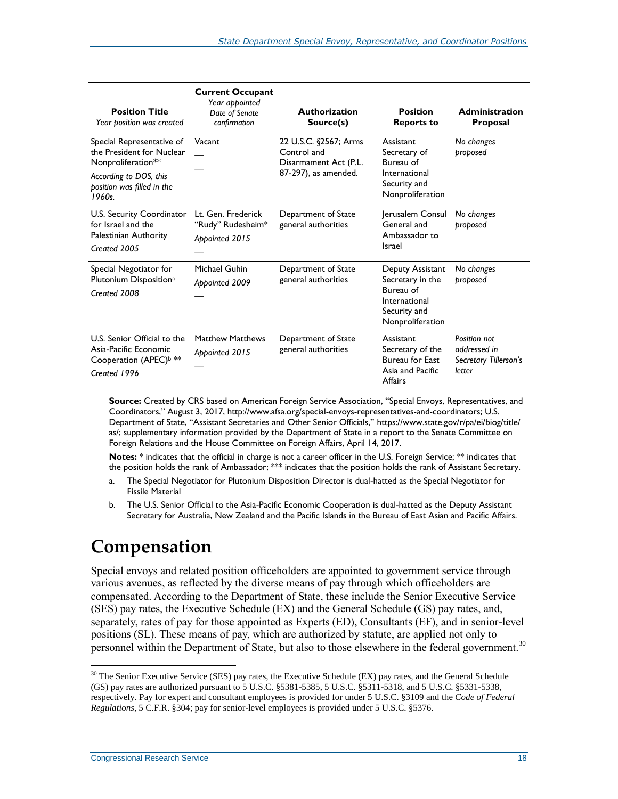| <b>Position Title</b><br>Year position was created                                                                                            | <b>Current Occupant</b><br>Year appointed<br>Date of Senate<br>confirmation | <b>Authorization</b><br>Source(s)                                                     | <b>Position</b><br><b>Reports to</b>                                                                   | <b>Administration</b><br>Proposal                               |
|-----------------------------------------------------------------------------------------------------------------------------------------------|-----------------------------------------------------------------------------|---------------------------------------------------------------------------------------|--------------------------------------------------------------------------------------------------------|-----------------------------------------------------------------|
| Special Representative of<br>the President for Nuclear<br>Nonproliferation**<br>According to DOS, this<br>position was filled in the<br>1960s | Vacant                                                                      | 22 U.S.C. §2567; Arms<br>Control and<br>Disarmament Act (P.L.<br>87-297), as amended. | Assistant<br>Secretary of<br>Bureau of<br>International<br>Security and<br>Nonproliferation            | No changes<br>proposed                                          |
| U.S. Security Coordinator<br>for Israel and the<br>Palestinian Authority<br>Created 2005                                                      | Lt. Gen. Frederick<br>"Rudy" Rudesheim*<br>Appointed 2015                   | Department of State<br>general authorities                                            | Jerusalem Consul<br>General and<br>Ambassador to<br>Israel                                             | No changes<br>proposed                                          |
| Special Negotiator for<br>Plutonium Disposition <sup>a</sup><br>Created 2008                                                                  | Michael Guhin<br>Appointed 2009                                             | Department of State<br>general authorities                                            | Deputy Assistant<br>Secretary in the<br>Bureau of<br>International<br>Security and<br>Nonproliferation | No changes<br>proposed                                          |
| U.S. Senior Official to the<br>Asia-Pacific Economic<br>Cooperation (APEC) <sup>b **</sup><br>Created 1996                                    | <b>Matthew Matthews</b><br>Appointed 2015                                   | Department of State<br>general authorities                                            | Assistant<br>Secretary of the<br><b>Bureau for East</b><br>Asia and Pacific<br>Affairs                 | Position not<br>addressed in<br>Secretary Tillerson's<br>letter |

**Source:** Created by CRS based on American Foreign Service Association, "Special Envoys, Representatives, and Coordinators," August 3, 2017, http://www.afsa.org/special-envoys-representatives-and-coordinators; U.S. Department of State, "Assistant Secretaries and Other Senior Officials," [https://www.state.gov/r/pa/ei/biog/title/](https://www.state.gov/r/pa/ei/biog/title/as/) [as/;](https://www.state.gov/r/pa/ei/biog/title/as/) supplementary information provided by the Department of State in a report to the Senate Committee on Foreign Relations and the House Committee on Foreign Affairs, April 14, 2017.

**Notes:** \* indicates that the official in charge is not a career officer in the U.S. Foreign Service; \*\* indicates that the position holds the rank of Ambassador; \*\*\* indicates that the position holds the rank of Assistant Secretary.

- <span id="page-20-0"></span>a. The Special Negotiator for Plutonium Disposition Director is dual-hatted as the Special Negotiator for Fissile Material
- <span id="page-20-1"></span>b. The U.S. Senior Official to the Asia-Pacific Economic Cooperation is dual-hatted as the Deputy Assistant Secretary for Australia, New Zealand and the Pacific Islands in the Bureau of East Asian and Pacific Affairs.

## **Compensation**

Special envoys and related position officeholders are appointed to government service through various avenues, as reflected by the diverse means of pay through which officeholders are compensated. According to the Department of State, these include the Senior Executive Service (SES) pay rates, the Executive Schedule (EX) and the General Schedule (GS) pay rates, and, separately, rates of pay for those appointed as Experts (ED), Consultants (EF), and in senior-level positions (SL). These means of pay, which are authorized by statute, are applied not only to personnel within the Department of State, but also to those elsewhere in the federal government.<sup>30</sup>

<sup>&</sup>lt;sup>30</sup> The Senior Executive Service (SES) pay rates, the Executive Schedule (EX) pay rates, and the General Schedule (GS) pay rates are authorized pursuant to 5 U.S.C. §5381-5385, 5 U.S.C. §5311-5318, and 5 U.S.C. §5331-5338, respectively. Pay for expert and consultant employees is provided for under 5 U.S.C. §3109 and the *Code of Federal Regulations*, 5 C.F.R. §304; pay for senior-level employees is provided under 5 U.S.C. §5376.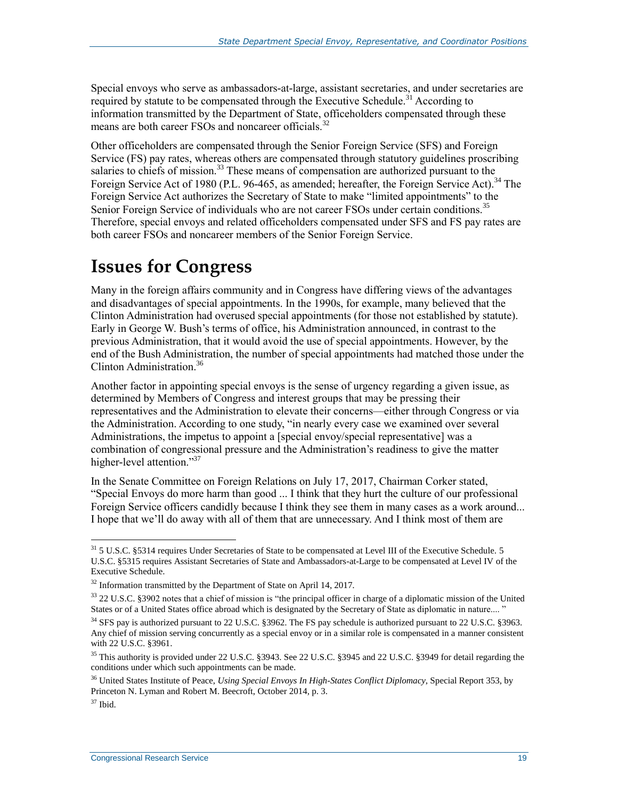Special envoys who serve as ambassadors-at-large, assistant secretaries, and under secretaries are required by statute to be compensated through the Executive Schedule.<sup>31</sup> According to information transmitted by the Department of State, officeholders compensated through these means are both career FSOs and noncareer officials.<sup>32</sup>

Other officeholders are compensated through the Senior Foreign Service (SFS) and Foreign Service (FS) pay rates, whereas others are compensated through statutory guidelines proscribing salaries to chiefs of mission.<sup>33</sup> These means of compensation are authorized pursuant to the Foreign Service Act of 1980 (P.L. 96-465, as amended; hereafter, the Foreign Service Act).<sup>34</sup> The Foreign Service Act authorizes the Secretary of State to make "limited appointments" to the Senior Foreign Service of individuals who are not career FSOs under certain conditions.<sup>35</sup> Therefore, special envoys and related officeholders compensated under SFS and FS pay rates are both career FSOs and noncareer members of the Senior Foreign Service.

## **Issues for Congress**

Many in the foreign affairs community and in Congress have differing views of the advantages and disadvantages of special appointments. In the 1990s, for example, many believed that the Clinton Administration had overused special appointments (for those not established by statute). Early in George W. Bush's terms of office, his Administration announced, in contrast to the previous Administration, that it would avoid the use of special appointments. However, by the end of the Bush Administration, the number of special appointments had matched those under the Clinton Administration.<sup>36</sup>

Another factor in appointing special envoys is the sense of urgency regarding a given issue, as determined by Members of Congress and interest groups that may be pressing their representatives and the Administration to elevate their concerns—either through Congress or via the Administration. According to one study, "in nearly every case we examined over several Administrations, the impetus to appoint a [special envoy/special representative] was a combination of congressional pressure and the Administration's readiness to give the matter higher-level attention."<sup>37</sup>

In the Senate Committee on Foreign Relations on July 17, 2017, Chairman Corker stated, "Special Envoys do more harm than good ... I think that they hurt the culture of our professional Foreign Service officers candidly because I think they see them in many cases as a work around... I hope that we'll do away with all of them that are unnecessary. And I think most of them are

 $31$  5 U.S.C. §5314 requires Under Secretaries of State to be compensated at Level III of the Executive Schedule. 5 U.S.C. §5315 requires Assistant Secretaries of State and Ambassadors-at-Large to be compensated at Level IV of the Executive Schedule.

 $32$  Information transmitted by the Department of State on April 14, 2017.

<sup>33</sup> 22 U.S.C. §3902 notes that a chief of mission is "the principal officer in charge of a diplomatic mission of the United States or of a United States office abroad which is designated by the Secretary of State as diplomatic in nature.... '

<sup>&</sup>lt;sup>34</sup> SFS pay is authorized pursuant to 22 U.S.C. §3962. The FS pay schedule is authorized pursuant to 22 U.S.C. §3963. Any chief of mission serving concurrently as a special envoy or in a similar role is compensated in a manner consistent with 22 U.S.C. §3961.

<sup>&</sup>lt;sup>35</sup> This authority is provided under 22 U.S.C. §3943. See 22 U.S.C. §3945 and 22 U.S.C. §3949 for detail regarding the conditions under which such appointments can be made.

<sup>36</sup> United States Institute of Peace, *Using Special Envoys In High-States Conflict Diplomacy*, Special Report 353, by Princeton N. Lyman and Robert M. Beecroft, October 2014, p. 3.

 $37$  Ibid.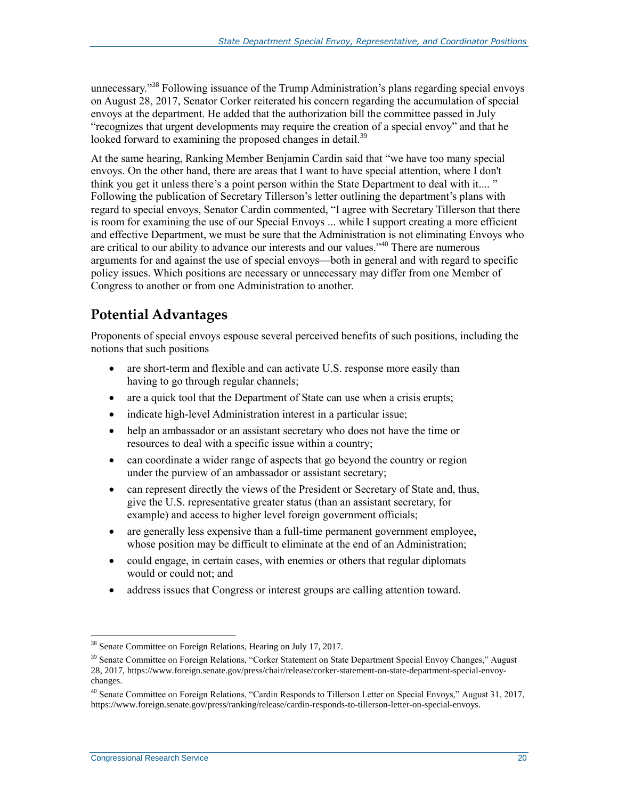unnecessary."<sup>38</sup> Following issuance of the Trump Administration's plans regarding special envoys on August 28, 2017, Senator Corker reiterated his concern regarding the accumulation of special envoys at the department. He added that the authorization bill the committee passed in July "recognizes that urgent developments may require the creation of a special envoy" and that he looked forward to examining the proposed changes in detail.<sup>39</sup>

At the same hearing, Ranking Member Benjamin Cardin said that "we have too many special envoys. On the other hand, there are areas that I want to have special attention, where I don't think you get it unless there's a point person within the State Department to deal with it.... " Following the publication of Secretary Tillerson's letter outlining the department's plans with regard to special envoys, Senator Cardin commented, "I agree with Secretary Tillerson that there is room for examining the use of our Special Envoys ... while I support creating a more efficient and effective Department, we must be sure that the Administration is not eliminating Envoys who are critical to our ability to advance our interests and our values."<sup>40</sup> There are numerous arguments for and against the use of special envoys—both in general and with regard to specific policy issues. Which positions are necessary or unnecessary may differ from one Member of Congress to another or from one Administration to another.

### **Potential Advantages**

Proponents of special envoys espouse several perceived benefits of such positions, including the notions that such positions

- are short-term and flexible and can activate U.S. response more easily than having to go through regular channels;
- are a quick tool that the Department of State can use when a crisis erupts;
- indicate high-level Administration interest in a particular issue;
- help an ambassador or an assistant secretary who does not have the time or resources to deal with a specific issue within a country;
- can coordinate a wider range of aspects that go beyond the country or region under the purview of an ambassador or assistant secretary;
- can represent directly the views of the President or Secretary of State and, thus, give the U.S. representative greater status (than an assistant secretary, for example) and access to higher level foreign government officials;
- are generally less expensive than a full-time permanent government employee, whose position may be difficult to eliminate at the end of an Administration;
- could engage, in certain cases, with enemies or others that regular diplomats would or could not; and
- address issues that Congress or interest groups are calling attention toward.

<sup>&</sup>lt;sup>38</sup> Senate Committee on Foreign Relations, Hearing on July 17, 2017.

<sup>&</sup>lt;sup>39</sup> Senate Committee on Foreign Relations, "Corker Statement on State Department Special Envoy Changes," August 28, 2017, https://www.foreign.senate.gov/press/chair/release/corker-statement-on-state-department-special-envoychanges.

<sup>40</sup> Senate Committee on Foreign Relations, "Cardin Responds to Tillerson Letter on Special Envoys," August 31, 2017, https://www.foreign.senate.gov/press/ranking/release/cardin-responds-to-tillerson-letter-on-special-envoys.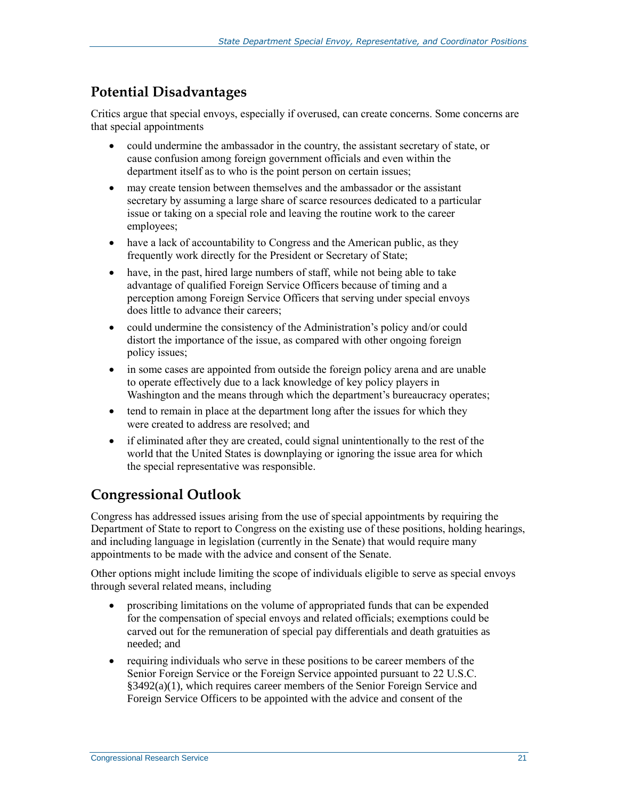### **Potential Disadvantages**

Critics argue that special envoys, especially if overused, can create concerns. Some concerns are that special appointments

- could undermine the ambassador in the country, the assistant secretary of state, or cause confusion among foreign government officials and even within the department itself as to who is the point person on certain issues;
- may create tension between themselves and the ambassador or the assistant secretary by assuming a large share of scarce resources dedicated to a particular issue or taking on a special role and leaving the routine work to the career employees;
- have a lack of accountability to Congress and the American public, as they frequently work directly for the President or Secretary of State;
- have, in the past, hired large numbers of staff, while not being able to take advantage of qualified Foreign Service Officers because of timing and a perception among Foreign Service Officers that serving under special envoys does little to advance their careers;
- could undermine the consistency of the Administration's policy and/or could distort the importance of the issue, as compared with other ongoing foreign policy issues;
- in some cases are appointed from outside the foreign policy arena and are unable to operate effectively due to a lack knowledge of key policy players in Washington and the means through which the department's bureaucracy operates;
- tend to remain in place at the department long after the issues for which they were created to address are resolved; and
- if eliminated after they are created, could signal unintentionally to the rest of the world that the United States is downplaying or ignoring the issue area for which the special representative was responsible.

## **Congressional Outlook**

Congress has addressed issues arising from the use of special appointments by requiring the Department of State to report to Congress on the existing use of these positions, holding hearings, and including language in legislation (currently in the Senate) that would require many appointments to be made with the advice and consent of the Senate.

Other options might include limiting the scope of individuals eligible to serve as special envoys through several related means, including

- proscribing limitations on the volume of appropriated funds that can be expended for the compensation of special envoys and related officials; exemptions could be carved out for the remuneration of special pay differentials and death gratuities as needed; and
- requiring individuals who serve in these positions to be career members of the Senior Foreign Service or the Foreign Service appointed pursuant to 22 U.S.C.  $\S$ 3492(a)(1), which requires career members of the Senior Foreign Service and Foreign Service Officers to be appointed with the advice and consent of the